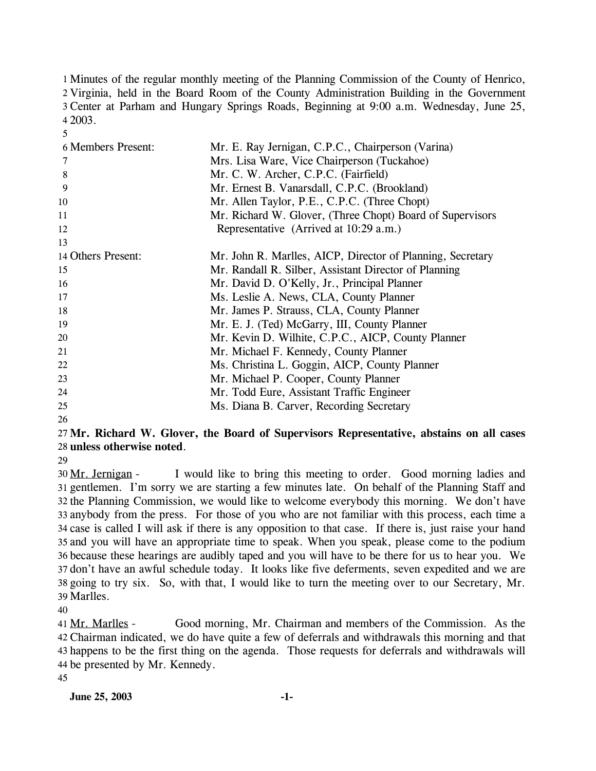1 Minutes of the regular monthly meeting of the Planning Commission of the County of Henrico, 2 Virginia, held in the Board Room of the County Administration Building in the Government Center at Parham and Hungary Springs Roads, Beginning at 9:00 a.m. Wednesday, June 25, 3 2003. 4

| <b>6 Members Present:</b> | Mr. E. Ray Jernigan, C.P.C., Chairperson (Varina)          |
|---------------------------|------------------------------------------------------------|
| 7                         | Mrs. Lisa Ware, Vice Chairperson (Tuckahoe)                |
| 8                         | Mr. C. W. Archer, C.P.C. (Fairfield)                       |
| 9                         | Mr. Ernest B. Vanarsdall, C.P.C. (Brookland)               |
| 10                        | Mr. Allen Taylor, P.E., C.P.C. (Three Chopt)               |
| 11                        | Mr. Richard W. Glover, (Three Chopt) Board of Supervisors  |
| 12                        | Representative (Arrived at 10:29 a.m.)                     |
| 13                        |                                                            |
| 14 Others Present:        | Mr. John R. Marlles, AICP, Director of Planning, Secretary |
| 15                        | Mr. Randall R. Silber, Assistant Director of Planning      |
| 16                        | Mr. David D. O'Kelly, Jr., Principal Planner               |
| 17                        | Ms. Leslie A. News, CLA, County Planner                    |
| 18                        | Mr. James P. Strauss, CLA, County Planner                  |
| 19                        | Mr. E. J. (Ted) McGarry, III, County Planner               |
| 20                        | Mr. Kevin D. Wilhite, C.P.C., AICP, County Planner         |
| 21                        | Mr. Michael F. Kennedy, County Planner                     |
| 22                        | Ms. Christina L. Goggin, AICP, County Planner              |
| 23                        | Mr. Michael P. Cooper, County Planner                      |
| 24                        | Mr. Todd Eure, Assistant Traffic Engineer                  |
| 25                        | Ms. Diana B. Carver, Recording Secretary                   |
|                           |                                                            |

26

5

### 27 **Mr. Richard W. Glover, the Board of Supervisors Representative, abstains on all cases**  28 **unless otherwise noted**.

29

I would like to bring this meeting to order. Good morning ladies and 31 gentlemen. I'm sorry we are starting a few minutes late. On behalf of the Planning Staff and 32 the Planning Commission, we would like to welcome everybody this morning. We don't have anybody from the press. For those of you who are not familiar with this process, each time a 33 34 case is called I will ask if there is any opposition to that case. If there is, just raise your hand 35 and you will have an appropriate time to speak. When you speak, please come to the podium 36 because these hearings are audibly taped and you will have to be there for us to hear you. We 37 don't have an awful schedule today. It looks like five deferments, seven expedited and we are 38 going to try six. So, with that, I would like to turn the meeting over to our Secretary, Mr. Marlles. 39 30 Mr. Jernigan -

40

Good morning, Mr. Chairman and members of the Commission. As the Chairman indicated, we do have quite a few of deferrals and withdrawals this morning and that 42 43 happens to be the first thing on the agenda. Those requests for deferrals and withdrawals will 44 be presented by Mr. Kennedy. 41 Mr. Marlles -

45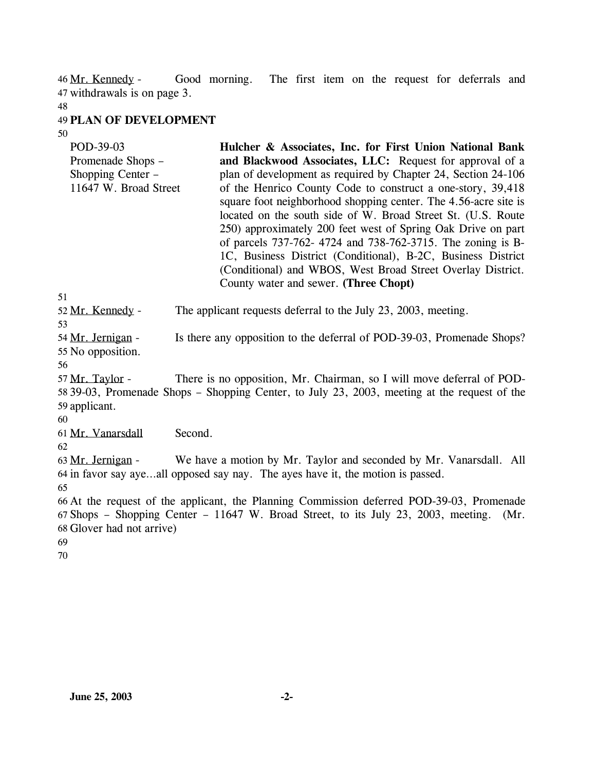Good morning. The first item on the request for deferrals and withdrawals is on page 3. 47 46 Mr. Kennedy -

48

### 49 **PLAN OF DEVELOPMENT**

50

| POD-39-03<br>Promenade Shops –<br>Shopping Center –<br>11647 W. Broad Street | Hulcher & Associates, Inc. for First Union National Bank<br>and Blackwood Associates, LLC: Request for approval of a<br>plan of development as required by Chapter 24, Section 24-106<br>of the Henrico County Code to construct a one-story, 39,418<br>square foot neighborhood shopping center. The 4.56-acre site is<br>located on the south side of W. Broad Street St. (U.S. Route<br>250) approximately 200 feet west of Spring Oak Drive on part<br>of parcels 737-762- 4724 and 738-762-3715. The zoning is B-<br>1C, Business District (Conditional), B-2C, Business District<br>(Conditional) and WBOS, West Broad Street Overlay District. |
|------------------------------------------------------------------------------|-------------------------------------------------------------------------------------------------------------------------------------------------------------------------------------------------------------------------------------------------------------------------------------------------------------------------------------------------------------------------------------------------------------------------------------------------------------------------------------------------------------------------------------------------------------------------------------------------------------------------------------------------------|
|                                                                              | County water and sewer. (Three Chopt)                                                                                                                                                                                                                                                                                                                                                                                                                                                                                                                                                                                                                 |

51

52 Mr. Kennedy - The applicant requests deferral to the July 23, 2003, meeting.

53

Is there any opposition to the deferral of POD-39-03, Promenade Shops? 55 No opposition. 54 Mr. Jernigan -

56

There is no opposition, Mr. Chairman, so I will move deferral of POD-39-03, Promenade Shops – Shopping Center, to July 23, 2003, meeting at the request of the 58 59 applicant. 57 Mr. Taylor -

60

61 Mr. Vanarsdall Second.

62

We have a motion by Mr. Taylor and seconded by Mr. Vanarsdall. All 64 in favor say aye...all opposed say nay. The ayes have it, the motion is passed. 63 Mr. Jernigan -65

66 At the request of the applicant, the Planning Commission deferred POD-39-03, Promenade 67 Shops – Shopping Center – 11647 W. Broad Street, to its July 23, 2003, meeting. (Mr. 68 Glover had not arrive)

- 69
- 70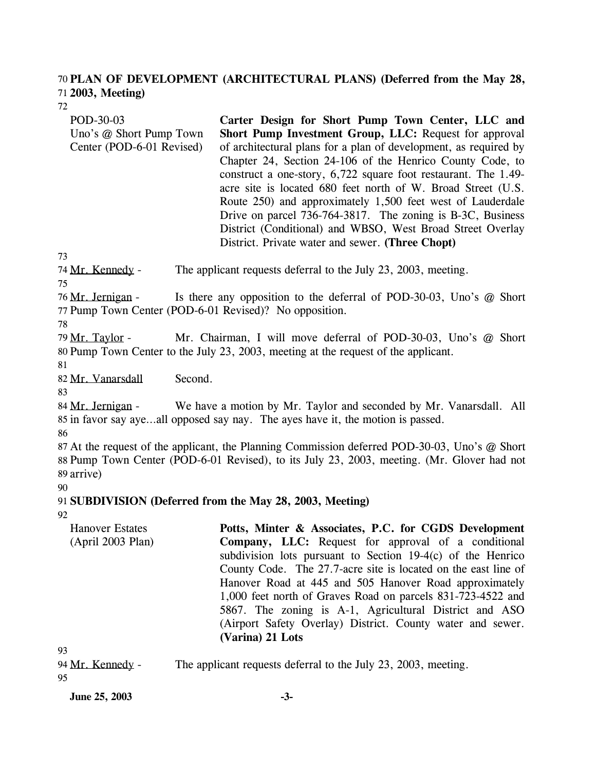#### **PLAN OF DEVELOPMENT (ARCHITECTURAL PLANS) (Deferred from the May 28,**  70 **2003, Meeting)**  71

72

POD-30-03 Uno's @ Short Pump Town Center (POD-6-01 Revised) **Carter Design for Short Pump Town Center, LLC and Short Pump Investment Group, LLC:** Request for approval of architectural plans for a plan of development, as required by Chapter 24, Section 24-106 of the Henrico County Code, to construct a one-story, 6,722 square foot restaurant. The 1.49 acre site is located 680 feet north of W. Broad Street (U.S. Route 250) and approximately 1,500 feet west of Lauderdale Drive on parcel 736-764-3817. The zoning is B-3C, Business District (Conditional) and WBSO, West Broad Street Overlay District. Private water and sewer. **(Three Chopt)** 

73

74 Mr. Kennedy - The applicant requests deferral to the July 23, 2003, meeting.

75

Is there any opposition to the deferral of POD-30-03, Uno's  $@$  Short 77 Pump Town Center (POD-6-01 Revised)? No opposition. 76 Mr. Jernigan -

78

Mr. Chairman, I will move deferral of POD-30-03, Uno's @ Short 80 Pump Town Center to the July 23, 2003, meeting at the request of the applicant. 79 Mr. Taylor -

81

82 Mr. Vanarsdall Second.

83

We have a motion by Mr. Taylor and seconded by Mr. Vanarsdall. All 85 in favor say aye...all opposed say nay. The ayes have it, the motion is passed. 84 Mr. Jernigan -

86

87 At the request of the applicant, the Planning Commission deferred POD-30-03, Uno's @ Short 88 Pump Town Center (POD-6-01 Revised), to its July 23, 2003, meeting. (Mr. Glover had not 89 arrive)

90

91 **SUBDIVISION (Deferred from the May 28, 2003, Meeting)** 

92

Hanover Estates (April 2003 Plan) **Potts, Minter & Associates, P.C. for CGDS Development Company, LLC:** Request for approval of a conditional subdivision lots pursuant to Section 19-4(c) of the Henrico County Code. The 27.7-acre site is located on the east line of Hanover Road at 445 and 505 Hanover Road approximately 1,000 feet north of Graves Road on parcels 831-723-4522 and 5867. The zoning is A-1, Agricultural District and ASO (Airport Safety Overlay) District. County water and sewer. **(Varina) 21 Lots** 

93

| 94 <u>Mr. Kennedy</u> - | The applicant requests deferral to the July 23, 2003, meeting. |
|-------------------------|----------------------------------------------------------------|
| 95                      |                                                                |

**June 25, 2003 -3-**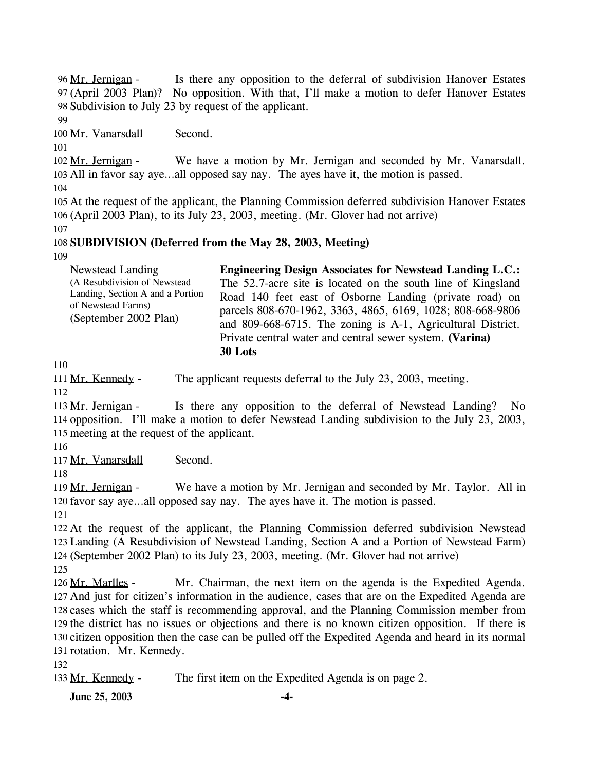Is there any opposition to the deferral of subdivision Hanover Estates (April 2003 Plan)? No opposition. With that, I'll make a motion to defer Hanover Estates 97 98 Subdivision to July 23 by request of the applicant. 96 Mr. Jernigan -

99

100 Mr. Vanarsdall Second.

101

We have a motion by Mr. Jernigan and seconded by Mr. Vanarsdall. All in favor say aye…all opposed say nay. The ayes have it, the motion is passed. 103 102 Mr. Jernigan -

104

105 At the request of the applicant, the Planning Commission deferred subdivision Hanover Estates 106 (April 2003 Plan), to its July 23, 2003, meeting. (Mr. Glover had not arrive)

107

# 108 **SUBDIVISION (Deferred from the May 28, 2003, Meeting)**

109

| Newstead Landing                                                                                                | <b>Engineering Design Associates for Newstead Landing L.C.:</b>                                                                                                                                                                                                                                                             |
|-----------------------------------------------------------------------------------------------------------------|-----------------------------------------------------------------------------------------------------------------------------------------------------------------------------------------------------------------------------------------------------------------------------------------------------------------------------|
| (A Resubdivision of Newstead<br>Landing, Section A and a Portion<br>of Newstead Farms)<br>(September 2002 Plan) | The 52.7-acre site is located on the south line of Kingsland<br>Road 140 feet east of Osborne Landing (private road) on<br>parcels 808-670-1962, 3363, 4865, 6169, 1028; 808-668-9806<br>and 809-668-6715. The zoning is A-1, Agricultural District.<br>Private central water and central sewer system. (Varina)<br>30 Lots |

110

111 Mr. Kennedy - The applicant requests deferral to the July 23, 2003, meeting.

112

Is there any opposition to the deferral of Newstead Landing? No 114 opposition. I'll make a motion to defer Newstead Landing subdivision to the July 23, 2003, 115 meeting at the request of the applicant. 113 Mr. Jernigan -

116

117 Mr. Vanarsdall Second.

118

We have a motion by Mr. Jernigan and seconded by Mr. Taylor. All in 120 favor say aye...all opposed say nay. The ayes have it. The motion is passed. 119 Mr. Jernigan -

121

 At the request of the applicant, the Planning Commission deferred subdivision Newstead Landing (A Resubdivision of Newstead Landing, Section A and a Portion of Newstead Farm) (September 2002 Plan) to its July 23, 2003, meeting. (Mr. Glover had not arrive) 125

Mr. Chairman, the next item on the agenda is the Expedited Agenda. 127 And just for citizen's information in the audience, cases that are on the Expedited Agenda are 128 cases which the staff is recommending approval, and the Planning Commission member from 129 the district has no issues or objections and there is no known citizen opposition. If there is 130 citizen opposition then the case can be pulled off the Expedited Agenda and heard in its normal 131 rotation. Mr. Kennedy. 126 Mr. Marlles -

132

133 Mr. Kennedy - The first item on the Expedited Agenda is on page 2.

**June 25, 2003** -4-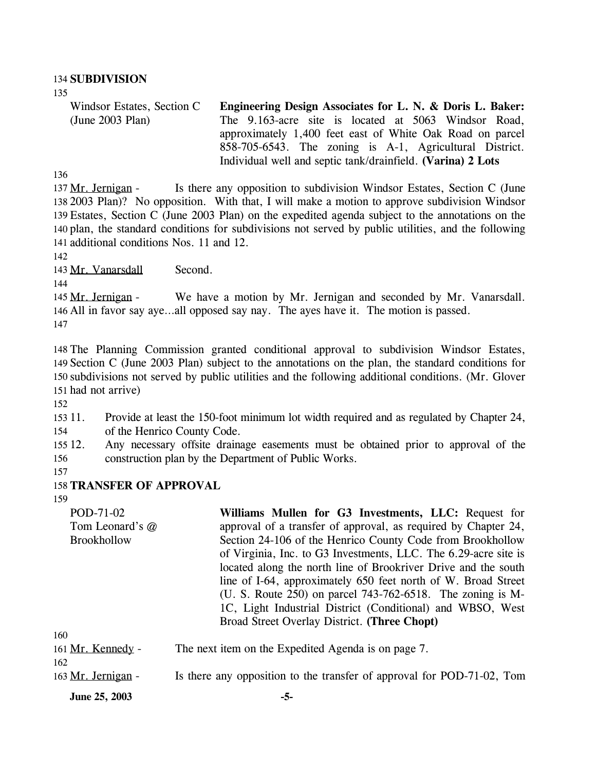#### 134 **SUBDIVISION**

135

Windsor Estates, Section C (June 2003 Plan) **Engineering Design Associates for L. N. & Doris L. Baker:**  The 9.163-acre site is located at 5063 Windsor Road, approximately 1,400 feet east of White Oak Road on parcel 858-705-6543. The zoning is A-1, Agricultural District. Individual well and septic tank/drainfield. **(Varina) 2 Lots** 

136

Is there any opposition to subdivision Windsor Estates, Section C (June 2003 Plan)? No opposition. With that, I will make a motion to approve subdivision Windsor 138 Estates, Section C (June 2003 Plan) on the expedited agenda subject to the annotations on the 139 140 plan, the standard conditions for subdivisions not served by public utilities, and the following 141 additional conditions Nos. 11 and 12. 137 Mr. Jernigan -

142

143 Mr. Vanarsdall Second.

144

We have a motion by Mr. Jernigan and seconded by Mr. Vanarsdall. 146 All in favor say aye...all opposed say nay. The ayes have it. The motion is passed. 145 Mr. Jernigan -147

 The Planning Commission granted conditional approval to subdivision Windsor Estates, Section C (June 2003 Plan) subject to the annotations on the plan, the standard conditions for subdivisions not served by public utilities and the following additional conditions. (Mr. Glover had not arrive)

152

 $15311.$ 154 Provide at least the 150-foot minimum lot width required and as regulated by Chapter 24, of the Henrico County Code.

155 12. 156 Any necessary offsite drainage easements must be obtained prior to approval of the construction plan by the Department of Public Works.

157

### 158 **TRANSFER OF APPROVAL**

159

160 POD-71-02 Tom Leonard's @ Brookhollow **Williams Mullen for G3 Investments, LLC:** Request for approval of a transfer of approval, as required by Chapter 24, Section 24-106 of the Henrico County Code from Brookhollow of Virginia, Inc. to G3 Investments, LLC. The 6.29-acre site is located along the north line of Brookriver Drive and the south line of I-64, approximately 650 feet north of W. Broad Street (U. S. Route 250) on parcel 743-762-6518. The zoning is M-1C, Light Industrial District (Conditional) and WBSO, West Broad Street Overlay District. **(Three Chopt)**  161 Mr. Kennedy - The next item on the Expedited Agenda is on page 7. 162

163 Mr. Jernigan - Is there any opposition to the transfer of approval for POD-71-02, Tom

**June 25, 2003 -5-**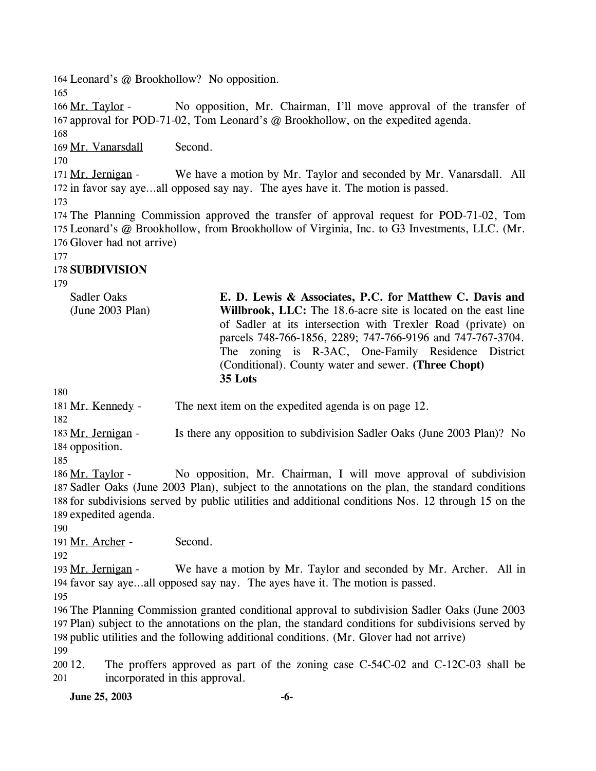164 Leonard's @ Brookhollow? No opposition.

165

No opposition, Mr. Chairman, I'll move approval of the transfer of 167 approval for POD-71-02, Tom Leonard's @ Brookhollow, on the expedited agenda. 166 Mr. Taylor -

168

169 Mr. Vanarsdall Second.

170

We have a motion by Mr. Taylor and seconded by Mr. Vanarsdall. All 172 in favor say aye...all opposed say nay. The ayes have it. The motion is passed. 171 Mr. Jernigan -

173

174 The Planning Commission approved the transfer of approval request for POD-71-02, Tom 175 Leonard's @ Brookhollow, from Brookhollow of Virginia, Inc. to G3 Investments, LLC. (Mr. 176 Glover had not arrive)

177

# 178 **SUBDIVISION**

179

Sadler Oaks (June 2003 Plan) **E. D. Lewis & Associates, P.C. for Matthew C. Davis and Willbrook, LLC:** The 18.6-acre site is located on the east line of Sadler at its intersection with Trexler Road (private) on parcels 748-766-1856, 2289; 747-766-9196 and 747-767-3704. The zoning is R-3AC, One-Family Residence District (Conditional). County water and sewer. **(Three Chopt) 35 Lots** 

180

181 Mr. Kennedy - The next item on the expedited agenda is on page 12.

182

Is there any opposition to subdivision Sadler Oaks (June 2003 Plan)? No 184 opposition. 183 Mr. Jernigan -

185

No opposition, Mr. Chairman, I will move approval of subdivision 187 Sadler Oaks (June 2003 Plan), subject to the annotations on the plan, the standard conditions 188 for subdivisions served by public utilities and additional conditions Nos. 12 through 15 on the 189 expedited agenda. 186 Mr. Taylor -

190

191 Mr. Archer - Second.

192

We have a motion by Mr. Taylor and seconded by Mr. Archer. All in 194 favor say aye...all opposed say nay. The ayes have it. The motion is passed. 193 Mr. Jernigan -

195

 The Planning Commission granted conditional approval to subdivision Sadler Oaks (June 2003 Plan) subject to the annotations on the plan, the standard conditions for subdivisions served by public utilities and the following additional conditions. (Mr. Glover had not arrive) 199

200 12. 201 The proffers approved as part of the zoning case  $C-54C-02$  and  $C-12C-03$  shall be incorporated in this approval.

**June 25, 2003** -6-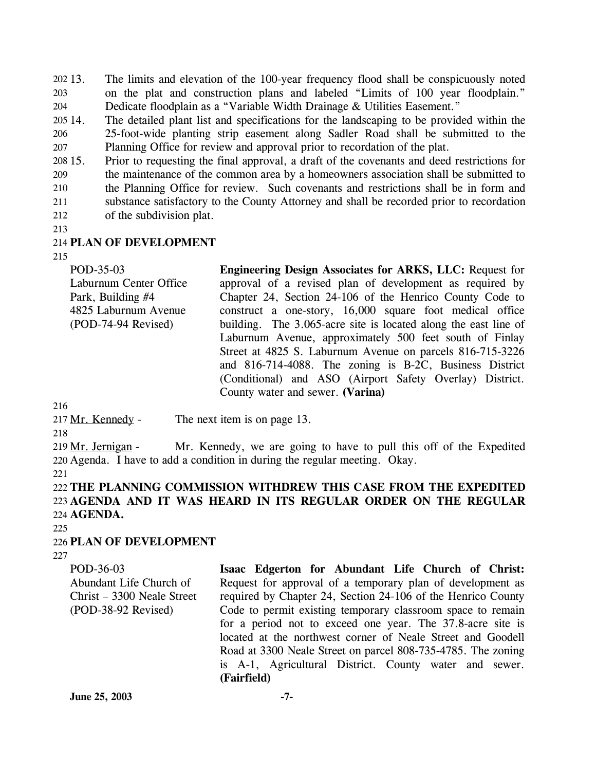The limits and elevation of the 100-year frequency flood shall be conspicuously noted on the plat and construction plans and labeled "Limits of 100 year floodplain." Dedicate floodplain as a "Variable Width Drainage & Utilities Easement." 202 13. 203 204

205 14. 206 207 The detailed plant list and specifications for the landscaping to be provided within the 25-foot-wide planting strip easement along Sadler Road shall be submitted to the Planning Office for review and approval prior to recordation of the plat.

208 15. 209 210 211 212 15. Prior to requesting the final approval, a draft of the covenants and deed restrictions for the maintenance of the common area by a homeowners association shall be submitted to the Planning Office for review. Such covenants and restrictions shall be in form and substance satisfactory to the County Attorney and shall be recorded prior to recordation of the subdivision plat.

213

#### 214 **PLAN OF DEVELOPMENT**

215

| POD-35-03              | <b>Engineering Design Associates for ARKS, LLC: Request for</b> |
|------------------------|-----------------------------------------------------------------|
| Laburnum Center Office | approval of a revised plan of development as required by        |
| Park, Building #4      | Chapter 24, Section 24-106 of the Henrico County Code to        |
| 4825 Laburnum Avenue   | construct a one-story, 16,000 square foot medical office        |
| (POD-74-94 Revised)    | building. The 3.065-acre site is located along the east line of |
|                        | Laburnum Avenue, approximately 500 feet south of Finlay         |
|                        | Street at 4825 S. Laburnum Avenue on parcels 816-715-3226       |
|                        | and 816-714-4088. The zoning is B-2C, Business District         |
|                        | (Conditional) and ASO (Airport Safety Overlay) District.        |
|                        | County water and sewer. (Varina)                                |

216

217 Mr. Kennedy - The next item is on page 13.

218

Mr. Kennedy, we are going to have to pull this off of the Expedited 220 Agenda. I have to add a condition in during the regular meeting. Okay. 219 Mr. Jernigan -

221

222 **THE PLANNING COMMISSION WITHDREW THIS CASE FROM THE EXPEDITED**  223 **AGENDA AND IT WAS HEARD IN ITS REGULAR ORDER ON THE REGULAR**  224 **AGENDA.** 

 $225$ 

# 226 **PLAN OF DEVELOPMENT**

227

| POD-36-03                  | Isaac Edgerton for Abundant Life Church of Christ:           |
|----------------------------|--------------------------------------------------------------|
| Abundant Life Church of    | Request for approval of a temporary plan of development as   |
| Christ – 3300 Neale Street | required by Chapter 24, Section 24-106 of the Henrico County |
| $(POD-38-92$ Revised)      | Code to permit existing temporary classroom space to remain  |
|                            | for a period not to exceed one year. The 37.8-acre site is   |
|                            | located at the northwest corner of Neale Street and Goodell  |
|                            | Road at 3300 Neale Street on parcel 808-735-4785. The zoning |
|                            | is A-1, Agricultural District. County water and sewer.       |
|                            | (Fairfield)                                                  |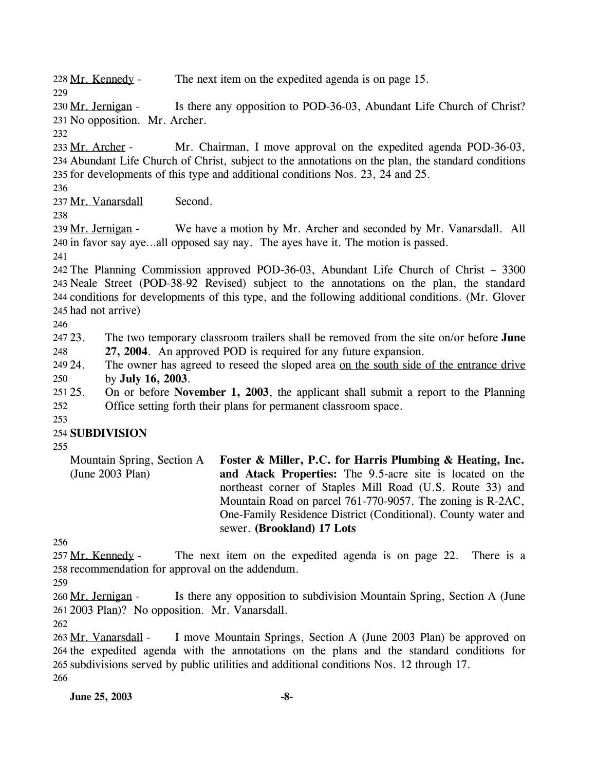228 Mr. Kennedy - The next item on the expedited agenda is on page 15.

Is there any opposition to POD-36-03, Abundant Life Church of Christ? 231 No opposition. Mr. Archer. 230 Mr. Jernigan -

232

229

Mr. Chairman, I move approval on the expedited agenda POD-36-03, Abundant Life Church of Christ, subject to the annotations on the plan, the standard conditions 234 235 for developments of this type and additional conditions Nos. 23, 24 and 25. 233 Mr. Archer -

236

237 Mr. Vanarsdall Second.

238

We have a motion by Mr. Archer and seconded by Mr. Vanarsdall. All 240 in favor say aye...all opposed say nay. The ayes have it. The motion is passed. 239 Mr. Jernigan -

241

 The Planning Commission approved POD-36-03, Abundant Life Church of Christ – 3300 Neale Street (POD-38-92 Revised) subject to the annotations on the plan, the standard conditions for developments of this type, and the following additional conditions. (Mr. Glover had not arrive)

246

247 23. 248 23. The two temporary classroom trailers shall be removed from the site on/or before **June 27, 2004**. An approved POD is required for any future expansion.

The owner has agreed to reseed the sloped area on the south side of the entrance drive by **July 16, 2003**. 249 24. 250

251 25. 252 25. On or before **November 1, 2003**, the applicant shall submit a report to the Planning Office setting forth their plans for permanent classroom space.

253

# 254 **SUBDIVISION**

255

Mountain Spring, Section A (June 2003 Plan) **Foster & Miller, P.C. for Harris Plumbing & Heating, Inc. and Atack Properties:** The 9.5-acre site is located on the northeast corner of Staples Mill Road (U.S. Route 33) and Mountain Road on parcel 761-770-9057. The zoning is R-2AC, One-Family Residence District (Conditional). County water and sewer. **(Brookland) 17 Lots** 

256

The next item on the expedited agenda is on page 22. There is a 258 recommendation for approval on the addendum. 257 Mr. Kennedy -

259

Is there any opposition to subdivision Mountain Spring, Section A (June 261 2003 Plan)? No opposition. Mr. Vanarsdall. 260 Mr. Jernigan -

262

I move Mountain Springs, Section A (June 2003 Plan) be approved on 264 the expedited agenda with the annotations on the plans and the standard conditions for 265 subdivisions served by public utilities and additional conditions Nos. 12 through 17. 263 Mr. Vanarsdall -266

**June 25, 2003** -8-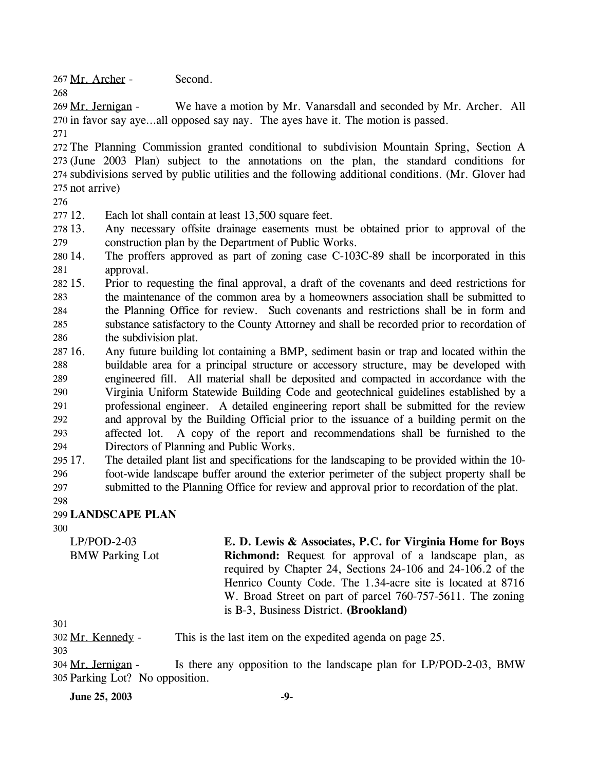267 Mr. Archer - Second.

We have a motion by Mr. Vanarsdall and seconded by Mr. Archer. All 270 in favor say aye...all opposed say nay. The ayes have it. The motion is passed. 269 Mr. Jernigan -

271

268

 The Planning Commission granted conditional to subdivision Mountain Spring, Section A (June 2003 Plan) subject to the annotations on the plan, the standard conditions for subdivisions served by public utilities and the following additional conditions. (Mr. Glover had not arrive)

276

277 12. Each lot shall contain at least 13,500 square feet.

- 278 13. 279 13. Any necessary offsite drainage easements must be obtained prior to approval of the construction plan by the Department of Public Works.
- 280 14. 281 The proffers approved as part of zoning case C-103C-89 shall be incorporated in this approval.
- 282 15. 283 284 285 286 15. Prior to requesting the final approval, a draft of the covenants and deed restrictions for the maintenance of the common area by a homeowners association shall be submitted to the Planning Office for review. Such covenants and restrictions shall be in form and substance satisfactory to the County Attorney and shall be recorded prior to recordation of the subdivision plat.
- 287 16. 288 289 290 291 292 293 294 16. Any future building lot containing a BMP, sediment basin or trap and located within the buildable area for a principal structure or accessory structure, may be developed with engineered fill. All material shall be deposited and compacted in accordance with the Virginia Uniform Statewide Building Code and geotechnical guidelines established by a professional engineer. A detailed engineering report shall be submitted for the review and approval by the Building Official prior to the issuance of a building permit on the affected lot. A copy of the report and recommendations shall be furnished to the Directors of Planning and Public Works.
- 295 17. 296 297 17. The detailed plant list and specifications for the landscaping to be provided within the 10 foot-wide landscape buffer around the exterior perimeter of the subject property shall be submitted to the Planning Office for review and approval prior to recordation of the plat.
- 298

# 299 **LANDSCAPE PLAN**

300

LP/POD-2-03 BMW Parking Lot **E. D. Lewis & Associates, P.C. for Virginia Home for Boys Richmond:** Request for approval of a landscape plan, as required by Chapter 24, Sections 24-106 and 24-106.2 of the Henrico County Code. The 1.34-acre site is located at 8716 W. Broad Street on part of parcel 760-757-5611. The zoning is B-3, Business District. **(Brookland)** 

301

302 Mr. Kennedy - This is the last item on the expedited agenda on page 25.

303

**June 25, 2003** -9-

Is there any opposition to the landscape plan for LP/POD-2-03, BMW 305 Parking Lot? No opposition. 304 Mr. Jernigan -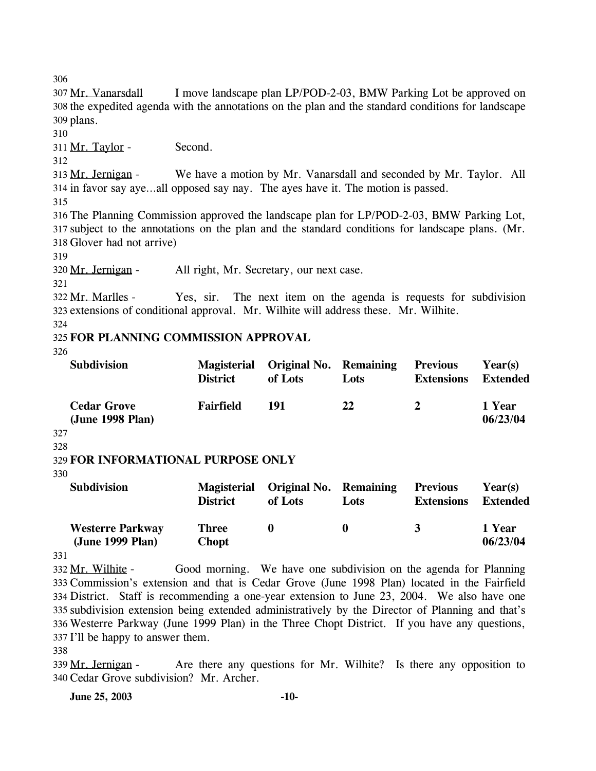306

I move landscape plan LP/POD-2-03, BMW Parking Lot be approved on 308 the expedited agenda with the annotations on the plan and the standard conditions for landscape 309 plans. 307 Mr. Vanarsdall

310

311 Mr. Taylor - Second.

312

We have a motion by Mr. Vanarsdall and seconded by Mr. Taylor. All 314 in favor say aye...all opposed say nay. The ayes have it. The motion is passed. 313 Mr. Jernigan -

315

316 The Planning Commission approved the landscape plan for LP/POD-2-03, BMW Parking Lot, 317 subject to the annotations on the plan and the standard conditions for landscape plans. (Mr. 318 Glover had not arrive)

319

320 Mr. Jernigan - All right, Mr. Secretary, our next case.

321

Yes, sir. The next item on the agenda is requests for subdivision 323 extensions of conditional approval. Mr. Wilhite will address these. Mr. Wilhite. 322 Mr. Marlles -

324

# 325 **FOR PLANNING COMMISSION APPROVAL**

326

| <b>Subdivision</b>                            | <b>District</b>  | Magisterial Original No. Remaining<br>of Lots | Lots | <b>Previous</b><br><b>Extensions</b> | Year(s)<br><b>Extended</b> |
|-----------------------------------------------|------------------|-----------------------------------------------|------|--------------------------------------|----------------------------|
| <b>Cedar Grove</b><br>(June 1998 Plan)<br>דרנ | <b>Fairfield</b> | 191                                           | 22   | <sup>2</sup>                         | 1 Year<br>06/23/04         |

327 328

# 329 **FOR INFORMATIONAL PURPOSE ONLY**

330

| <b>Subdivision</b>                          | <b>Magisterial</b><br><b>District</b> | Original No. Remaining<br>of Lots | Lots | <b>Previous</b><br><b>Extensions</b> | Year(s)<br><b>Extended</b> |
|---------------------------------------------|---------------------------------------|-----------------------------------|------|--------------------------------------|----------------------------|
| <b>Westerre Parkway</b><br>(June 1999 Plan) | <b>Three</b><br><b>Chopt</b>          |                                   |      | $\mathbf{R}$                         | 1 Year<br>06/23/04         |

331

Good morning. We have one subdivision on the agenda for Planning 333 Commission's extension and that is Cedar Grove (June 1998 Plan) located in the Fairfield District. Staff is recommending a one-year extension to June 23, 2004. We also have one 334 335 subdivision extension being extended administratively by the Director of Planning and that's Westerre Parkway (June 1999 Plan) in the Three Chopt District. If you have any questions, 336 337 I'll be happy to answer them. 332 Mr. Wilhite -

338

Are there any questions for Mr. Wilhite? Is there any opposition to Cedar Grove subdivision? Mr. Archer. 340 339 Mr. Jernigan -

**June 25, 2003 -10-**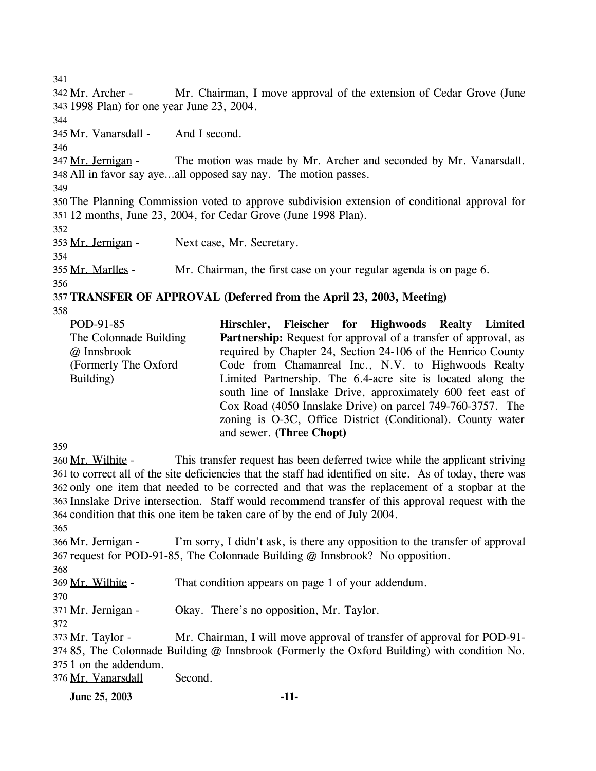341 Mr. Chairman, I move approval of the extension of Cedar Grove (June 1998 Plan) for one year June 23, 2004. 343 342 Mr. Archer -344 345 Mr. Vanarsdall - And I second. 346 The motion was made by Mr. Archer and seconded by Mr. Vanarsdall. All in favor say aye…all opposed say nay. The motion passes. 348 347 Mr. Jernigan -349 350 The Planning Commission voted to approve subdivision extension of conditional approval for 351 12 months, June 23, 2004, for Cedar Grove (June 1998 Plan). 352 353 Mr. Jernigan - Next case, Mr. Secretary. 354 355 Mr. Marlles - Mr. Chairman, the first case on your regular agenda is on page 6. 356 357 **TRANSFER OF APPROVAL (Deferred from the April 23, 2003, Meeting)**  358

| POD-91-85              |                          |  | Hirschler, Fleischer for Highwoods Realty Limited                      |  |
|------------------------|--------------------------|--|------------------------------------------------------------------------|--|
| The Colonnade Building |                          |  | <b>Partnership:</b> Request for approval of a transfer of approval, as |  |
| @ Innsbrook            |                          |  | required by Chapter 24, Section 24-106 of the Henrico County           |  |
| (Formerly The Oxford)  |                          |  | Code from Chamanreal Inc., N.V. to Highwoods Realty                    |  |
| Building)              |                          |  | Limited Partnership. The 6.4-acre site is located along the            |  |
|                        |                          |  | south line of Innslake Drive, approximately 600 feet east of           |  |
|                        |                          |  | Cox Road (4050 Innslake Drive) on parcel 749-760-3757. The             |  |
|                        |                          |  | zoning is O-3C, Office District (Conditional). County water            |  |
|                        | and sewer. (Three Chopt) |  |                                                                        |  |

359

This transfer request has been deferred twice while the applicant striving 361 to correct all of the site deficiencies that the staff had identified on site. As of today, there was 362 only one item that needed to be corrected and that was the replacement of a stopbar at the 363 Innslake Drive intersection. Staff would recommend transfer of this approval request with the 364 condition that this one item be taken care of by the end of July 2004. 360 Mr. Wilhite -

365

I'm sorry, I didn't ask, is there any opposition to the transfer of approval 367 request for POD-91-85, The Colonnade Building @ Innsbrook? No opposition. 366 Mr. Jernigan -

368

369 Mr. Wilhite - That condition appears on page 1 of your addendum.

370

371 Mr. Jernigan - Okay. There's no opposition, Mr. Taylor.

372

Mr. Chairman, I will move approval of transfer of approval for POD-91-374 85, The Colonnade Building @ Innsbrook (Formerly the Oxford Building) with condition No. 375 1 on the addendum. 373 Mr. Taylor -

376 Mr. Vanarsdall Second.

**June 25, 2003 -11-**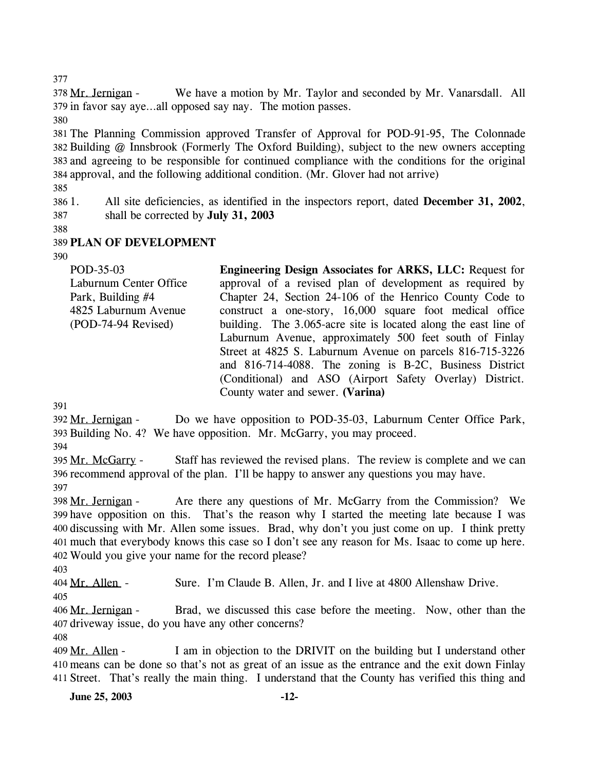377

We have a motion by Mr. Taylor and seconded by Mr. Vanarsdall. All 379 in favor say aye...all opposed say nay. The motion passes. 378 Mr. Jernigan -

380

 The Planning Commission approved Transfer of Approval for POD-91-95, The Colonnade Building @ Innsbrook (Formerly The Oxford Building), subject to the new owners accepting and agreeing to be responsible for continued compliance with the conditions for the original approval, and the following additional condition. (Mr. Glover had not arrive)

385

386 387 1. All site deficiencies, as identified in the inspectors report, dated **December 31, 2002**, shall be corrected by **July 31, 2003**

388

# 389 **PLAN OF DEVELOPMENT**

390

| POD-35-03              | <b>Engineering Design Associates for ARKS, LLC: Request for</b> |
|------------------------|-----------------------------------------------------------------|
| Laburnum Center Office | approval of a revised plan of development as required by        |
| Park, Building #4      | Chapter 24, Section 24-106 of the Henrico County Code to        |
| 4825 Laburnum Avenue   | construct a one-story, 16,000 square foot medical office        |
| (POD-74-94 Revised)    | building. The 3.065-acre site is located along the east line of |
|                        | Laburnum Avenue, approximately 500 feet south of Finlay         |
|                        | Street at 4825 S. Laburnum Avenue on parcels 816-715-3226       |
|                        | and 816-714-4088. The zoning is B-2C, Business District         |
|                        | (Conditional) and ASO (Airport Safety Overlay) District.        |
|                        | County water and sewer. (Varina)                                |

391

Do we have opposition to POD-35-03, Laburnum Center Office Park, 393 Building No. 4? We have opposition. Mr. McGarry, you may proceed. 392 Mr. Jernigan -

394

Staff has reviewed the revised plans. The review is complete and we can 396 recommend approval of the plan. I'll be happy to answer any questions you may have. 395 Mr. McGarry -397

Are there any questions of Mr. McGarry from the Commission? We 399 have opposition on this. That's the reason why I started the meeting late because I was 400 discussing with Mr. Allen some issues. Brad, why don't you just come on up. I think pretty much that everybody knows this case so I don't see any reason for Ms. Isaac to come up here. 401 Would you give your name for the record please? 402 398 Mr. Jernigan -

403

404 Mr. Allen - Sure. I'm Claude B. Allen, Jr. and I live at 4800 Allenshaw Drive.

405

Brad, we discussed this case before the meeting. Now, other than the 407 driveway issue, do you have any other concerns? 406 Mr. Jernigan -

408

I am in objection to the DRIVIT on the building but I understand other means can be done so that's not as great of an issue as the entrance and the exit down Finlay 410 411 Street. That's really the main thing. I understand that the County has verified this thing and 409 Mr. Allen -

**June 25, 2003 -12-**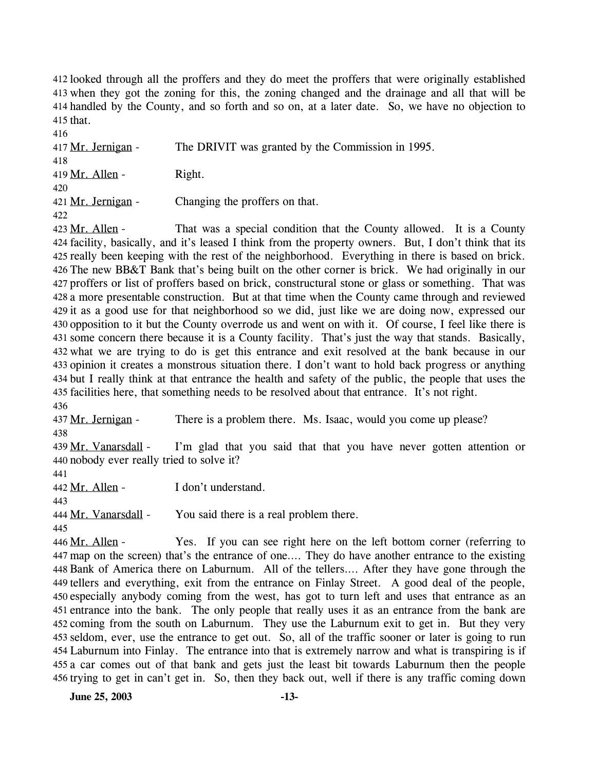412 looked through all the proffers and they do meet the proffers that were originally established when they got the zoning for this, the zoning changed and the drainage and all that will be 413 414 handled by the County, and so forth and so on, at a later date. So, we have no objection to  $415$  that.

416 417 Mr. Jernigan - The DRIVIT was granted by the Commission in 1995. 418  $419$  Mr. Allen - Right. 420 421 Mr. Jernigan - Changing the proffers on that. 422

That was a special condition that the County allowed. It is a County 424 facility, basically, and it's leased I think from the property owners. But, I don't think that its 425 really been keeping with the rest of the neighborhood. Everything in there is based on brick. 426 The new BB&T Bank that's being built on the other corner is brick. We had originally in our 427 proffers or list of proffers based on brick, constructural stone or glass or something. That was 428 a more presentable construction. But at that time when the County came through and reviewed 429 it as a good use for that neighborhood so we did, just like we are doing now, expressed our 430 opposition to it but the County overrode us and went on with it. Of course, I feel like there is 431 some concern there because it is a County facility. That's just the way that stands. Basically, what we are trying to do is get this entrance and exit resolved at the bank because in our 432 433 opinion it creates a monstrous situation there. I don't want to hold back progress or anything 434 but I really think at that entrance the health and safety of the public, the people that uses the 435 facilities here, that something needs to be resolved about that entrance. It's not right. 423 Mr. Allen -436

437 Mr. Jernigan - There is a problem there. Ms. Isaac, would you come up please? 438

I'm glad that you said that that you have never gotten attention or 440 nobody ever really tried to solve it? 439 Mr. Vanarsdall -

441

442 Mr. Allen - I don't understand.

443

444 Mr. Vanarsdall - You said there is a real problem there.

445

Yes. If you can see right here on the left bottom corner (referring to map on the screen) that's the entrance of one…. They do have another entrance to the existing 447 448 Bank of America there on Laburnum. All of the tellers.... After they have gone through the 449 tellers and everything, exit from the entrance on Finlay Street. A good deal of the people, 450 especially anybody coming from the west, has got to turn left and uses that entrance as an 451 entrance into the bank. The only people that really uses it as an entrance from the bank are 452 coming from the south on Laburnum. They use the Laburnum exit to get in. But they very 453 seldom, ever, use the entrance to get out. So, all of the traffic sooner or later is going to run Laburnum into Finlay. The entrance into that is extremely narrow and what is transpiring is if 454 455 a car comes out of that bank and gets just the least bit towards Laburnum then the people 456 trying to get in can't get in. So, then they back out, well if there is any traffic coming down 446 Mr. Allen -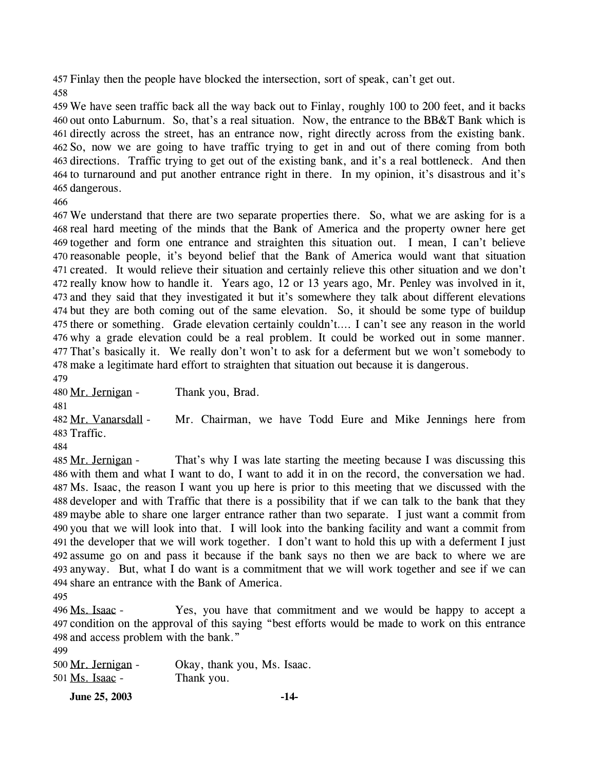457 Finlay then the people have blocked the intersection, sort of speak, can't get out. 

 We have seen traffic back all the way back out to Finlay, roughly 100 to 200 feet, and it backs out onto Laburnum. So, that's a real situation. Now, the entrance to the BB&T Bank which is directly across the street, has an entrance now, right directly across from the existing bank. So, now we are going to have traffic trying to get in and out of there coming from both directions. Traffic trying to get out of the existing bank, and it's a real bottleneck. And then to turnaround and put another entrance right in there. In my opinion, it's disastrous and it's dangerous.

 We understand that there are two separate properties there. So, what we are asking for is a real hard meeting of the minds that the Bank of America and the property owner here get together and form one entrance and straighten this situation out. I mean, I can't believe reasonable people, it's beyond belief that the Bank of America would want that situation created. It would relieve their situation and certainly relieve this other situation and we don't really know how to handle it. Years ago, 12 or 13 years ago, Mr. Penley was involved in it, and they said that they investigated it but it's somewhere they talk about different elevations but they are both coming out of the same elevation. So, it should be some type of buildup there or something. Grade elevation certainly couldn't…. I can't see any reason in the world why a grade elevation could be a real problem. It could be worked out in some manner. That's basically it. We really don't won't to ask for a deferment but we won't somebody to make a legitimate hard effort to straighten that situation out because it is dangerous.

480 Mr. Jernigan - Thank you, Brad.

Mr. Chairman, we have Todd Eure and Mike Jennings here from 483 Traffic. 482 Mr. Vanarsdall -

That's why I was late starting the meeting because I was discussing this 486 with them and what I want to do, I want to add it in on the record, the conversation we had. Ms. Isaac, the reason I want you up here is prior to this meeting that we discussed with the 488 developer and with Traffic that there is a possibility that if we can talk to the bank that they maybe able to share one larger entrance rather than two separate. I just want a commit from 490 you that we will look into that. I will look into the banking facility and want a commit from 491 the developer that we will work together. I don't want to hold this up with a deferment I just assume go on and pass it because if the bank says no then we are back to where we are anyway. But, what I do want is a commitment that we will work together and see if we can 494 share an entrance with the Bank of America. 485 Mr. Jernigan -

Yes, you have that commitment and we would be happy to accept a 497 condition on the approval of this saying "best efforts would be made to work on this entrance 498 and access problem with the bank." 496 Ms. Isaac -

| 500 Mr. Jernigan - | Okay, thank you, Ms. Isaac. |
|--------------------|-----------------------------|
| 501 Ms. Isaac -    | Thank you.                  |

**June 25, 2003 -14-**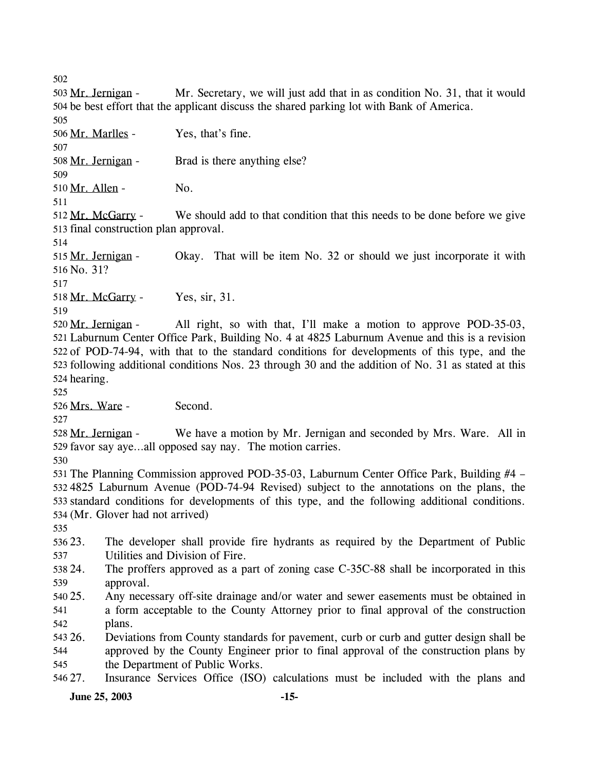502

Mr. Secretary, we will just add that in as condition No. 31, that it would 504 be best effort that the applicant discuss the shared parking lot with Bank of America. 503 Mr. Jernigan -505 506 Mr. Marlles - Yes, that's fine. 507 508 Mr. Jernigan - Brad is there anything else? 509 510 Mr. Allen - No. 511

We should add to that condition that this needs to be done before we give 513 final construction plan approval. 512 Mr. McGarry -

514 Okay. That will be item No. 32 or should we just incorporate it with 516 No. 31? 515 Mr. Jernigan -517 518 Mr. McGarry - Yes, sir, 31.

519

All right, so with that, I'll make a motion to approve POD-35-03, 521 Laburnum Center Office Park, Building No. 4 at 4825 Laburnum Avenue and this is a revision 522 of POD-74-94, with that to the standard conditions for developments of this type, and the 523 following additional conditions Nos. 23 through 30 and the addition of No. 31 as stated at this 524 hearing. 520 Mr. Jernigan -

525

526 Mrs. Ware - Second.

527

We have a motion by Mr. Jernigan and seconded by Mrs. Ware. All in 529 favor say aye...all opposed say nay. The motion carries. 528 Mr. Jernigan -

530

 The Planning Commission approved POD-35-03, Laburnum Center Office Park, Building #4 – 4825 Laburnum Avenue (POD-74-94 Revised) subject to the annotations on the plans, the standard conditions for developments of this type, and the following additional conditions. (Mr. Glover had not arrived)

535

536 23. 537 23. The developer shall provide fire hydrants as required by the Department of Public Utilities and Division of Fire.

- 538 24. 539 The proffers approved as a part of zoning case C-35C-88 shall be incorporated in this approval.
- 540 25. 541 542 Any necessary off-site drainage and/or water and sewer easements must be obtained in a form acceptable to the County Attorney prior to final approval of the construction plans.

543 26. 544 545 26. Deviations from County standards for pavement, curb or curb and gutter design shall be approved by the County Engineer prior to final approval of the construction plans by the Department of Public Works.

546 27. Insurance Services Office (ISO) calculations must be included with the plans and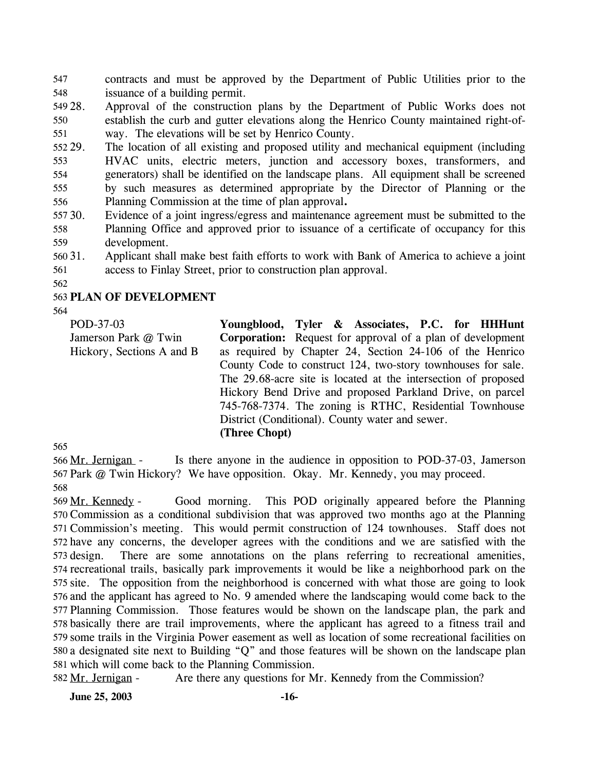contracts and must be approved by the Department of Public Utilities prior to the issuance of a building permit. 547 548

549 28. 550 551 Approval of the construction plans by the Department of Public Works does not establish the curb and gutter elevations along the Henrico County maintained right-ofway. The elevations will be set by Henrico County.

552 29. 553 554 555 556 The location of all existing and proposed utility and mechanical equipment (including HVAC units, electric meters, junction and accessory boxes, transformers, and generators) shall be identified on the landscape plans. All equipment shall be screened by such measures as determined appropriate by the Director of Planning or the Planning Commission at the time of plan approval**.**

557 30. 558 559 Evidence of a joint ingress/egress and maintenance agreement must be submitted to the Planning Office and approved prior to issuance of a certificate of occupancy for this development.

560 31. 561 31. Applicant shall make best faith efforts to work with Bank of America to achieve a joint access to Finlay Street, prior to construction plan approval.

562

# 563 **PLAN OF DEVELOPMENT**

564

POD-37-03 Jamerson Park @ Twin Hickory, Sections A and B **Youngblood, Tyler & Associates, P.C. for HHHunt Corporation:** Request for approval of a plan of development as required by Chapter 24, Section 24-106 of the Henrico County Code to construct 124, two-story townhouses for sale. The 29.68-acre site is located at the intersection of proposed Hickory Bend Drive and proposed Parkland Drive, on parcel 745-768-7374. The zoning is RTHC, Residential Townhouse District (Conditional). County water and sewer. **(Three Chopt)** 

565

Is there anyone in the audience in opposition to POD-37-03, Jamerson 567 Park @ Twin Hickory? We have opposition. Okay. Mr. Kennedy, you may proceed. 566 Mr. Jernigan -568

Good morning. This POD originally appeared before the Planning 570 Commission as a conditional subdivision that was approved two months ago at the Planning 571 Commission's meeting. This would permit construction of 124 townhouses. Staff does not 572 have any concerns, the developer agrees with the conditions and we are satisfied with the There are some annotations on the plans referring to recreational amenities, 574 recreational trails, basically park improvements it would be like a neighborhood park on the 575 site. The opposition from the neighborhood is concerned with what those are going to look 576 and the applicant has agreed to No. 9 amended where the landscaping would come back to the 577 Planning Commission. Those features would be shown on the landscape plan, the park and 578 basically there are trail improvements, where the applicant has agreed to a fitness trail and 579 some trails in the Virginia Power easement as well as location of some recreational facilities on 580 a designated site next to Building "Q" and those features will be shown on the landscape plan 581 which will come back to the Planning Commission. 569 Mr. Kennedy -573 design.

582 Mr. Jernigan - Are there any questions for Mr. Kennedy from the Commission?

**June 25, 2003 -16-**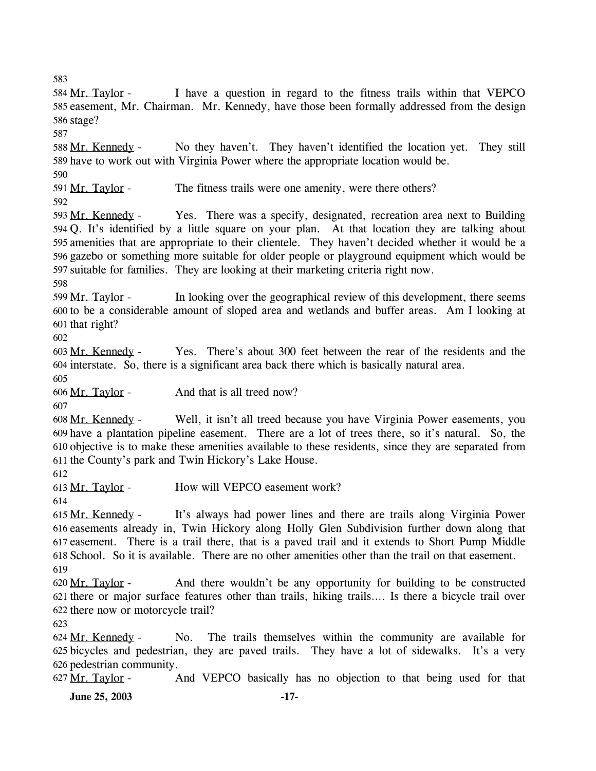583

I have a question in regard to the fitness trails within that VEPCO 585 easement, Mr. Chairman. Mr. Kennedy, have those been formally addressed from the design 586 stage? 584 Mr. Taylor -587 No they haven't. They haven't identified the location yet. They still 588 Mr. Kennedy -

589 have to work out with Virginia Power where the appropriate location would be. 590

591 Mr. Taylor - The fitness trails were one amenity, were there others? 592

Yes. There was a specify, designated, recreation area next to Building Q. It's identified by a little square on your plan. At that location they are talking about 594 595 amenities that are appropriate to their clientele. They haven't decided whether it would be a 596 gazebo or something more suitable for older people or playground equipment which would be 597 suitable for families. They are looking at their marketing criteria right now. 593 Mr. Kennedy -

598

In looking over the geographical review of this development, there seems 600 to be a considerable amount of sloped area and wetlands and buffer areas. Am I looking at 601 that right? 599 Mr. Taylor -

602

Yes. There's about 300 feet between the rear of the residents and the 604 interstate. So, there is a significant area back there which is basically natural area. 603 Mr. Kennedy -

605

606 Mr. Taylor - And that is all treed now?

607

Well, it isn't all treed because you have Virginia Power easements, you have a plantation pipeline easement. There are a lot of trees there, so it's natural. So, the 609 610 objective is to make these amenities available to these residents, since they are separated from 611 the County's park and Twin Hickory's Lake House. 608 Mr. Kennedy -

612

613 Mr. Taylor - How will VEPCO easement work?

614

It's always had power lines and there are trails along Virginia Power 616 easements already in, Twin Hickory along Holly Glen Subdivision further down along that 617 easement. There is a trail there, that is a paved trail and it extends to Short Pump Middle 618 School. So it is available. There are no other amenities other than the trail on that easement. 615 Mr. Kennedy -619

And there wouldn't be any opportunity for building to be constructed 621 there or major surface features other than trails, hiking trails.... Is there a bicycle trail over 622 there now or motorcycle trail? 620 Mr. Taylor -

623

No. The trails themselves within the community are available for 625 bicycles and pedestrian, they are paved trails. They have a lot of sidewalks. It's a very 626 pedestrian community. 624 Mr. Kennedy -

627 Mr. Taylor - And VEPCO basically has no objection to that being used for that

**June 25, 2003 -17-**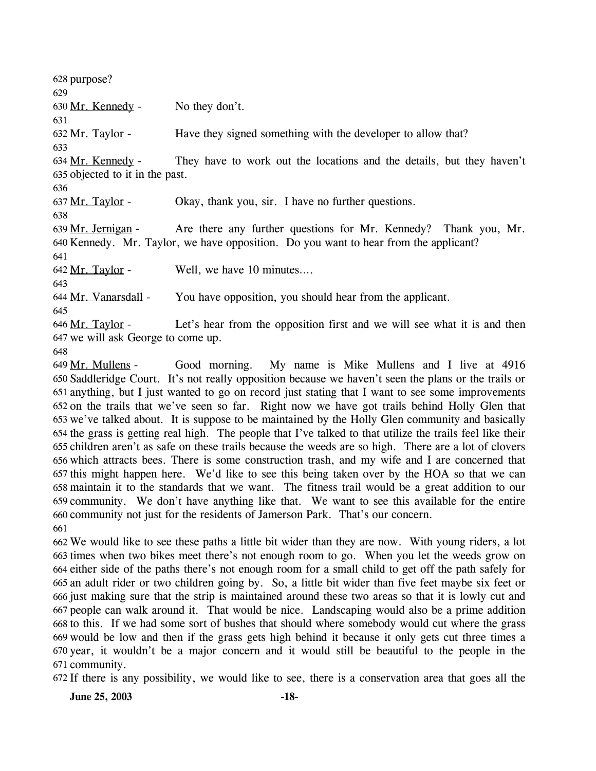628 purpose? 629 630 Mr. Kennedy - No they don't. 631 632 Mr. Taylor - Have they signed something with the developer to allow that? 633 They have to work out the locations and the details, but they haven't 635 objected to it in the past. 634 Mr. Kennedy -636 637 Mr. Taylor - Okay, thank you, sir. I have no further questions. 638 Are there any further questions for Mr. Kennedy? Thank you, Mr. 640 Kennedy. Mr. Taylor, we have opposition. Do you want to hear from the applicant? 639 Mr. Jernigan -641 642 Mr. Taylor - Well, we have 10 minutes... 643 644 Mr. Vanarsdall - You have opposition, you should hear from the applicant. 645 Let's hear from the opposition first and we will see what it is and then 647 we will ask George to come up. 646 Mr. Taylor -648 Good morning. My name is Mike Mullens and I live at 4916 649 Mr. Mullens -

650 Saddleridge Court. It's not really opposition because we haven't seen the plans or the trails or anything, but I just wanted to go on record just stating that I want to see some improvements 651 652 on the trails that we've seen so far. Right now we have got trails behind Holly Glen that 653 we've talked about. It is suppose to be maintained by the Holly Glen community and basically 654 the grass is getting real high. The people that I've talked to that utilize the trails feel like their 655 children aren't as safe on these trails because the weeds are so high. There are a lot of clovers 656 which attracts bees. There is some construction trash, and my wife and I are concerned that 657 this might happen here. We'd like to see this being taken over by the HOA so that we can maintain it to the standards that we want. The fitness trail would be a great addition to our 658 659 community. We don't have anything like that. We want to see this available for the entire 660 community not just for the residents of Jamerson Park. That's our concern. 661

 We would like to see these paths a little bit wider than they are now. With young riders, a lot times when two bikes meet there's not enough room to go. When you let the weeds grow on either side of the paths there's not enough room for a small child to get off the path safely for an adult rider or two children going by. So, a little bit wider than five feet maybe six feet or just making sure that the strip is maintained around these two areas so that it is lowly cut and people can walk around it. That would be nice. Landscaping would also be a prime addition to this. If we had some sort of bushes that should where somebody would cut where the grass would be low and then if the grass gets high behind it because it only gets cut three times a year, it wouldn't be a major concern and it would still be beautiful to the people in the community.

672 If there is any possibility, we would like to see, there is a conservation area that goes all the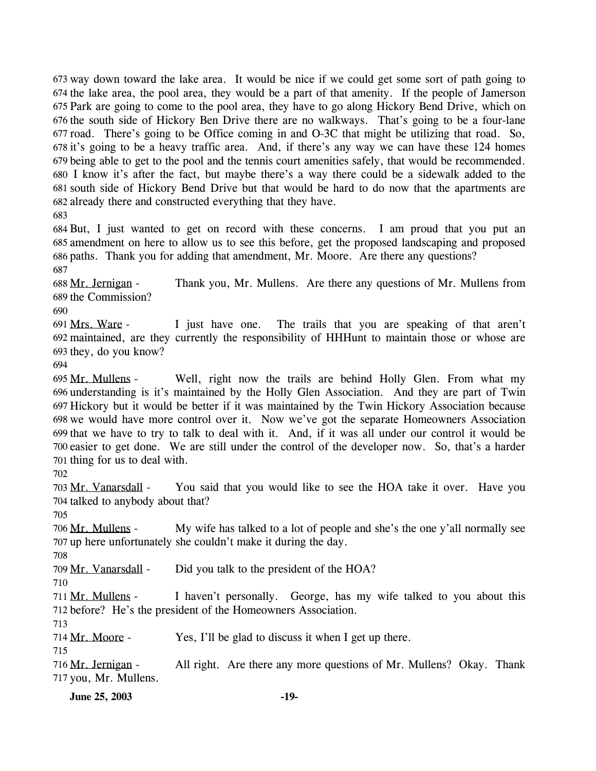673 way down toward the lake area. It would be nice if we could get some sort of path going to 674 the lake area, the pool area, they would be a part of that amenity. If the people of Jamerson 675 Park are going to come to the pool area, they have to go along Hickory Bend Drive, which on 676 the south side of Hickory Ben Drive there are no walkways. That's going to be a four-lane  $677 \text{ road.}$  There's going to be Office coming in and O-3C that might be utilizing that road. So, 678 it's going to be a heavy traffic area. And, if there's any way we can have these 124 homes 679 being able to get to the pool and the tennis court amenities safely, that would be recommended. 680 I know it's after the fact, but maybe there's a way there could be a sidewalk added to the 681 south side of Hickory Bend Drive but that would be hard to do now that the apartments are 682 already there and constructed everything that they have.

683

 But, I just wanted to get on record with these concerns. I am proud that you put an amendment on here to allow us to see this before, get the proposed landscaping and proposed paths. Thank you for adding that amendment, Mr. Moore. Are there any questions? 687

Thank you, Mr. Mullens. Are there any questions of Mr. Mullens from 689 the Commission? 688 Mr. Jernigan -

690

I just have one. The trails that you are speaking of that aren't maintained, are they currently the responsibility of HHHunt to maintain those or whose are 692 693 they, do you know? 691 Mrs. Ware -

694

Well, right now the trails are behind Holly Glen. From what my 696 understanding is it's maintained by the Holly Glen Association. And they are part of Twin 697 Hickory but it would be better if it was maintained by the Twin Hickory Association because 698 we would have more control over it. Now we've got the separate Homeowners Association 699 that we have to try to talk to deal with it. And, if it was all under our control it would be 700 easier to get done. We are still under the control of the developer now. So, that's a harder 701 thing for us to deal with. 695 Mr. Mullens -

702

You said that you would like to see the HOA take it over. Have you 704 talked to anybody about that? 703 Mr. Vanarsdall -

705

My wife has talked to a lot of people and she's the one y'all normally see 707 up here unfortunately she couldn't make it during the day. 706 Mr. Mullens -

708

709 Mr. Vanarsdall - Did you talk to the president of the HOA?

710

I haven't personally. George, has my wife talked to you about this 712 before? He's the president of the Homeowners Association. 711 Mr. Mullens -

713

714 Mr. Moore - Yes, I'll be glad to discuss it when I get up there.

715

All right. Are there any more questions of Mr. Mullens? Okay. Thank 717 you, Mr. Mullens. 716 Mr. Jernigan -

**June 25, 2003 -19-**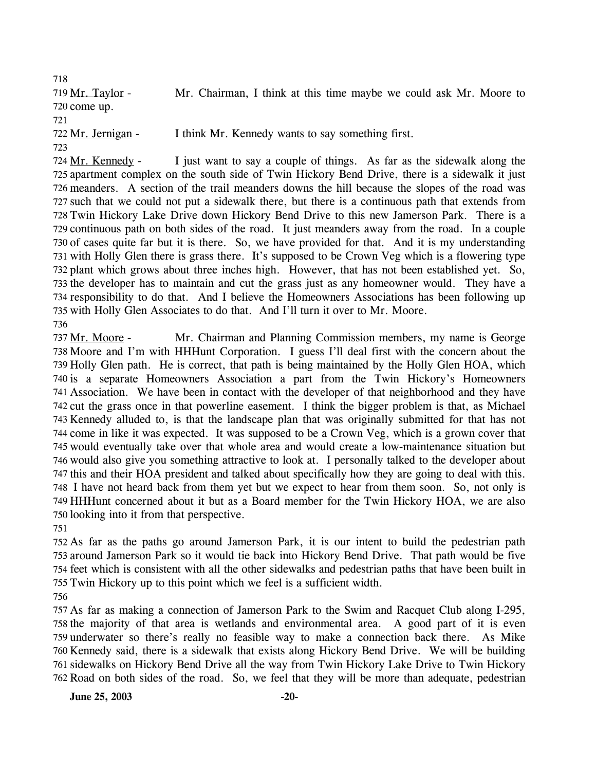718 Mr. Chairman, I think at this time maybe we could ask Mr. Moore to 720 come up. 719 Mr. Taylor -721 722 Mr. Jernigan - I think Mr. Kennedy wants to say something first. 723

I just want to say a couple of things. As far as the sidewalk along the 725 apartment complex on the south side of Twin Hickory Bend Drive, there is a sidewalk it just meanders. A section of the trail meanders downs the hill because the slopes of the road was 726 727 such that we could not put a sidewalk there, but there is a continuous path that extends from 728 Twin Hickory Lake Drive down Hickory Bend Drive to this new Jamerson Park. There is a 729 continuous path on both sides of the road. It just meanders away from the road. In a couple 730 of cases quite far but it is there. So, we have provided for that. And it is my understanding 731 with Holly Glen there is grass there. It's supposed to be Crown Veg which is a flowering type 732 plant which grows about three inches high. However, that has not been established yet. So, 733 the developer has to maintain and cut the grass just as any homeowner would. They have a 734 responsibility to do that. And I believe the Homeowners Associations has been following up 735 with Holly Glen Associates to do that. And I'll turn it over to Mr. Moore. 724 Mr. Kennedy -736

Mr. Chairman and Planning Commission members, my name is George 738 Moore and I'm with HHHunt Corporation. I guess I'll deal first with the concern about the 739 Holly Glen path. He is correct, that path is being maintained by the Holly Glen HOA, which 740 is a separate Homeowners Association a part from the Twin Hickory's Homeowners Association. We have been in contact with the developer of that neighborhood and they have 741 742 cut the grass once in that powerline easement. I think the bigger problem is that, as Michael 743 Kennedy alluded to, is that the landscape plan that was originally submitted for that has not 744 come in like it was expected. It was supposed to be a Crown Veg, which is a grown cover that 745 would eventually take over that whole area and would create a low-maintenance situation but 746 would also give you something attractive to look at. I personally talked to the developer about 747 this and their HOA president and talked about specifically how they are going to deal with this. 748 I have not heard back from them yet but we expect to hear from them soon. So, not only is 749 HHHunt concerned about it but as a Board member for the Twin Hickory HOA, we are also 750 looking into it from that perspective. 737 Mr. Moore -

751

 As far as the paths go around Jamerson Park, it is our intent to build the pedestrian path around Jamerson Park so it would tie back into Hickory Bend Drive. That path would be five feet which is consistent with all the other sidewalks and pedestrian paths that have been built in Twin Hickory up to this point which we feel is a sufficient width.

756

 As far as making a connection of Jamerson Park to the Swim and Racquet Club along I-295, the majority of that area is wetlands and environmental area. A good part of it is even underwater so there's really no feasible way to make a connection back there. As Mike Kennedy said, there is a sidewalk that exists along Hickory Bend Drive. We will be building sidewalks on Hickory Bend Drive all the way from Twin Hickory Lake Drive to Twin Hickory Road on both sides of the road. So, we feel that they will be more than adequate, pedestrian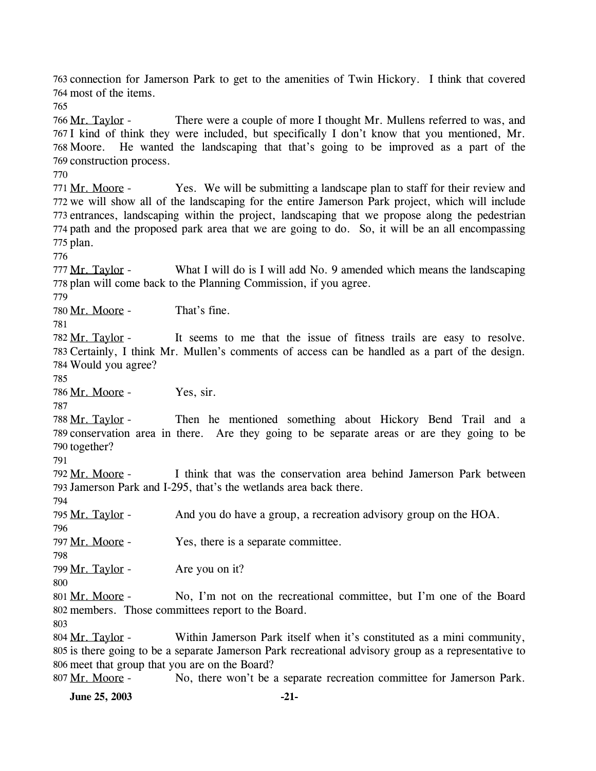763 connection for Jamerson Park to get to the amenities of Twin Hickory. I think that covered 764 most of the items. 765 There were a couple of more I thought Mr. Mullens referred to was, and 767 I kind of think they were included, but specifically I don't know that you mentioned, Mr. 768 Moore. He wanted the landscaping that that's going to be improved as a part of the 769 construction process. 766 Mr. Taylor -770

Yes. We will be submitting a landscape plan to staff for their review and 772 we will show all of the landscaping for the entire Jamerson Park project, which will include 773 entrances, landscaping within the project, landscaping that we propose along the pedestrian 774 path and the proposed park area that we are going to do. So, it will be an all encompassing 775 plan. 771 Mr. Moore -

776

What I will do is I will add No. 9 amended which means the landscaping 778 plan will come back to the Planning Commission, if you agree. 777 Mr. Taylor -

779

780 Mr. Moore - That's fine.

781

It seems to me that the issue of fitness trails are easy to resolve. 783 Certainly, I think Mr. Mullen's comments of access can be handled as a part of the design. 784 Would you agree? 782 Mr. Taylor -

785

786 Mr. Moore - Yes, sir.

787

Then he mentioned something about Hickory Bend Trail and a 789 conservation area in there. Are they going to be separate areas or are they going to be 790 together? 788 Mr. Taylor -

791

I think that was the conservation area behind Jamerson Park between 793 Jamerson Park and I-295, that's the wetlands area back there. 792 Mr. Moore -

794

795 Mr. Taylor - And you do have a group, a recreation advisory group on the HOA.

797 Mr. Moore - Yes, there is a separate committee.

798

796

799 Mr. Taylor - Are you on it?

800

No, I'm not on the recreational committee, but I'm one of the Board 802 members. Those committees report to the Board. 801 Mr. Moore -

803

Within Jamerson Park itself when it's constituted as a mini community, 805 is there going to be a separate Jamerson Park recreational advisory group as a representative to 806 meet that group that you are on the Board? 804 Mr. Taylor -

807 Mr. Moore - No, there won't be a separate recreation committee for Jamerson Park.

**June 25, 2003** -21-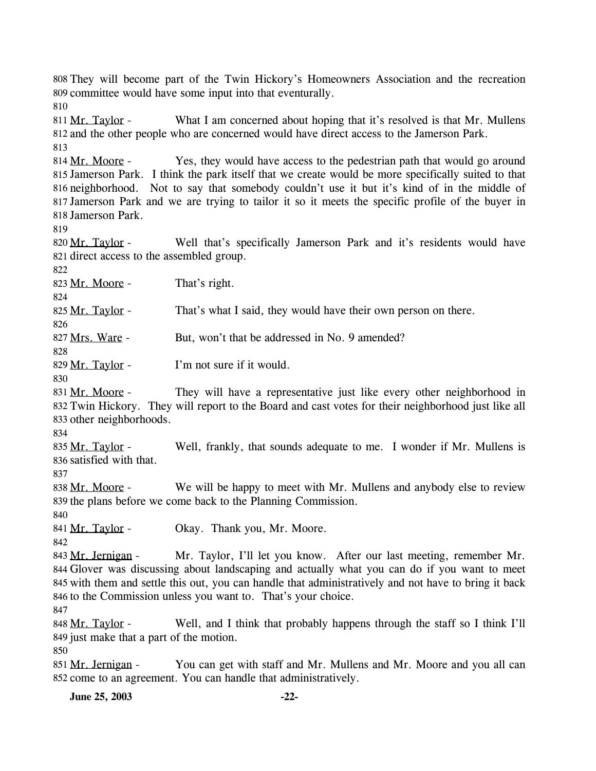They will become part of the Twin Hickory's Homeowners Association and the recreation 808 809 committee would have some input into that eventurally.

810

What I am concerned about hoping that it's resolved is that Mr. Mullens 812 and the other people who are concerned would have direct access to the Jamerson Park. 811 Mr. Taylor -813

Yes, they would have access to the pedestrian path that would go around 815 Jamerson Park. I think the park itself that we create would be more specifically suited to that 816 neighborhood. Not to say that somebody couldn't use it but it's kind of in the middle of 817 Jamerson Park and we are trying to tailor it so it meets the specific profile of the buyer in 818 Jamerson Park. 814 Mr. Moore -

819

Well that's specifically Jamerson Park and it's residents would have 821 direct access to the assembled group. 820 Mr. Taylor -

822

824

826

828

823 Mr. Moore - That's right.

825 Mr. Taylor - That's what I said, they would have their own person on there.

827 Mrs. Ware - But, won't that be addressed in No. 9 amended?

829 Mr. Taylor - I'm not sure if it would.

830

They will have a representative just like every other neighborhood in Twin Hickory. They will report to the Board and cast votes for their neighborhood just like all 832 833 other neighborhoods. 831 Mr. Moore -

834

Well, frankly, that sounds adequate to me. I wonder if Mr. Mullens is 836 satisfied with that. 835 Mr. Taylor -

837

We will be happy to meet with Mr. Mullens and anybody else to review 839 the plans before we come back to the Planning Commission. 838 Mr. Moore -

840

842

841 Mr. Taylor - Okay. Thank you, Mr. Moore.

Mr. Taylor, I'll let you know. After our last meeting, remember Mr. 844 Glover was discussing about landscaping and actually what you can do if you want to meet 845 with them and settle this out, you can handle that administratively and not have to bring it back 846 to the Commission unless you want to. That's your choice. 843 Mr. Jernigan -

847

Well, and I think that probably happens through the staff so I think I'll 849 just make that a part of the motion. 848 Mr. Taylor -

850

You can get with staff and Mr. Mullens and Mr. Moore and you all can 852 come to an agreement. You can handle that administratively. 851 Mr. Jernigan -

**June 25, 2003 -22-**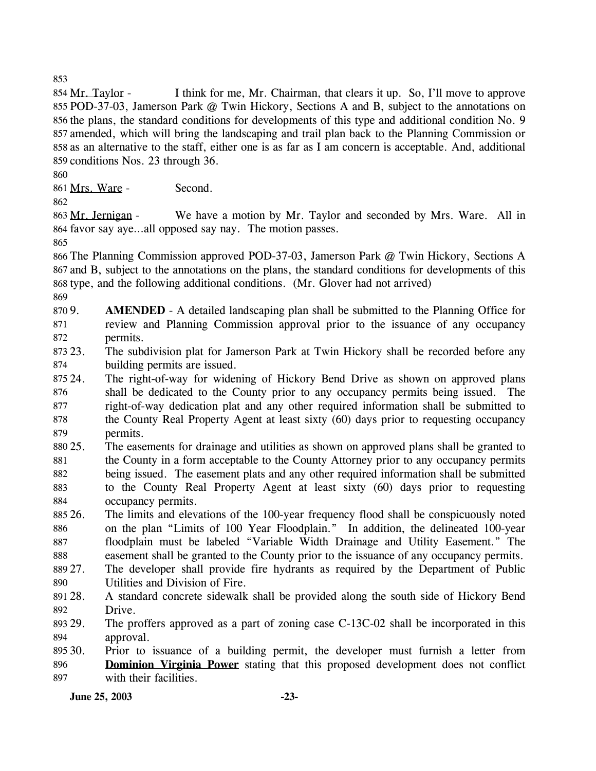853

I think for me, Mr. Chairman, that clears it up. So, I'll move to approve 855 POD-37-03, Jamerson Park @ Twin Hickory, Sections A and B, subject to the annotations on 856 the plans, the standard conditions for developments of this type and additional condition No. 9 857 amended, which will bring the landscaping and trail plan back to the Planning Commission or 858 as an alternative to the staff, either one is as far as I am concern is acceptable. And, additional 859 conditions Nos. 23 through 36. 854 Mr. Taylor -

860

861 Mrs. Ware - Second.

862

We have a motion by Mr. Taylor and seconded by Mrs. Ware. All in 864 favor say aye...all opposed say nay. The motion passes. 863 Mr. Jernigan -

865

866 The Planning Commission approved POD-37-03, Jamerson Park @ Twin Hickory, Sections A 867 and B, subject to the annotations on the plans, the standard conditions for developments of this 868 type, and the following additional conditions. (Mr. Glover had not arrived)

869

870 9. 871 872 AMENDED - A detailed landscaping plan shall be submitted to the Planning Office for review and Planning Commission approval prior to the issuance of any occupancy permits.

873 23. 874 The subdivision plat for Jamerson Park at Twin Hickory shall be recorded before any building permits are issued.

- 875 24. 876 877 878 879 The right-of-way for widening of Hickory Bend Drive as shown on approved plans shall be dedicated to the County prior to any occupancy permits being issued. The right-of-way dedication plat and any other required information shall be submitted to the County Real Property Agent at least sixty (60) days prior to requesting occupancy permits.
- 880 25. 881 882 883 884 The easements for drainage and utilities as shown on approved plans shall be granted to the County in a form acceptable to the County Attorney prior to any occupancy permits being issued. The easement plats and any other required information shall be submitted to the County Real Property Agent at least sixty (60) days prior to requesting occupancy permits.
- 885 26. 886 887 888 26. The limits and elevations of the 100-year frequency flood shall be conspicuously noted on the plan "Limits of 100 Year Floodplain." In addition, the delineated 100-year floodplain must be labeled "Variable Width Drainage and Utility Easement." The easement shall be granted to the County prior to the issuance of any occupancy permits.
- 889 27. 890 The developer shall provide fire hydrants as required by the Department of Public Utilities and Division of Fire.
- 891 28. 892 28. A standard concrete sidewalk shall be provided along the south side of Hickory Bend Drive.
- 893 29. 894 The proffers approved as a part of zoning case  $C-13C-02$  shall be incorporated in this approval.

895 30. 30. Prior to issuance of a building permit, the developer must furnish a letter from **Dominion Virginia Power** stating that this proposed development does not conflict with their facilities. 896 897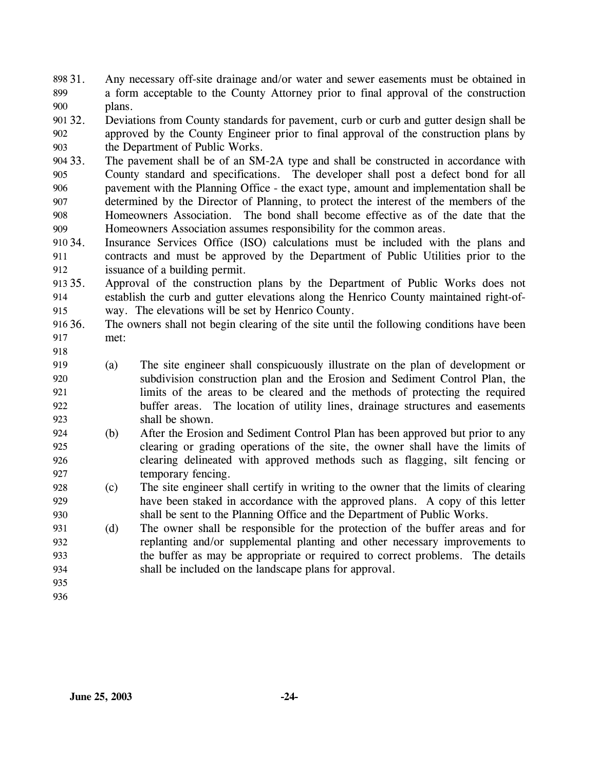- Any necessary off-site drainage and/or water and sewer easements must be obtained in a form acceptable to the County Attorney prior to final approval of the construction plans. 898 31. 899 900
- 901 32. 902 903 32. Deviations from County standards for pavement, curb or curb and gutter design shall be approved by the County Engineer prior to final approval of the construction plans by the Department of Public Works.
- 904 33. 905 906 907 908 909 The pavement shall be of an SM-2A type and shall be constructed in accordance with County standard and specifications. The developer shall post a defect bond for all pavement with the Planning Office - the exact type, amount and implementation shall be determined by the Director of Planning, to protect the interest of the members of the Homeowners Association. The bond shall become effective as of the date that the Homeowners Association assumes responsibility for the common areas.
- 910 34. 911 912 Insurance Services Office (ISO) calculations must be included with the plans and contracts and must be approved by the Department of Public Utilities prior to the issuance of a building permit.
- 913 35. 914 915 Approval of the construction plans by the Department of Public Works does not establish the curb and gutter elevations along the Henrico County maintained right-ofway. The elevations will be set by Henrico County.
- 916 36. 917 The owners shall not begin clearing of the site until the following conditions have been met:
- 919 920 921 922 923 (a) The site engineer shall conspicuously illustrate on the plan of development or subdivision construction plan and the Erosion and Sediment Control Plan, the limits of the areas to be cleared and the methods of protecting the required buffer areas. The location of utility lines, drainage structures and easements shall be shown.
- 924 925 926 927 (b) After the Erosion and Sediment Control Plan has been approved but prior to any clearing or grading operations of the site, the owner shall have the limits of clearing delineated with approved methods such as flagging, silt fencing or temporary fencing.
- 928 929 930 (c) The site engineer shall certify in writing to the owner that the limits of clearing have been staked in accordance with the approved plans. A copy of this letter shall be sent to the Planning Office and the Department of Public Works.
- 931 932 933 934 (d) The owner shall be responsible for the protection of the buffer areas and for replanting and/or supplemental planting and other necessary improvements to the buffer as may be appropriate or required to correct problems. The details shall be included on the landscape plans for approval.
- 935 936

918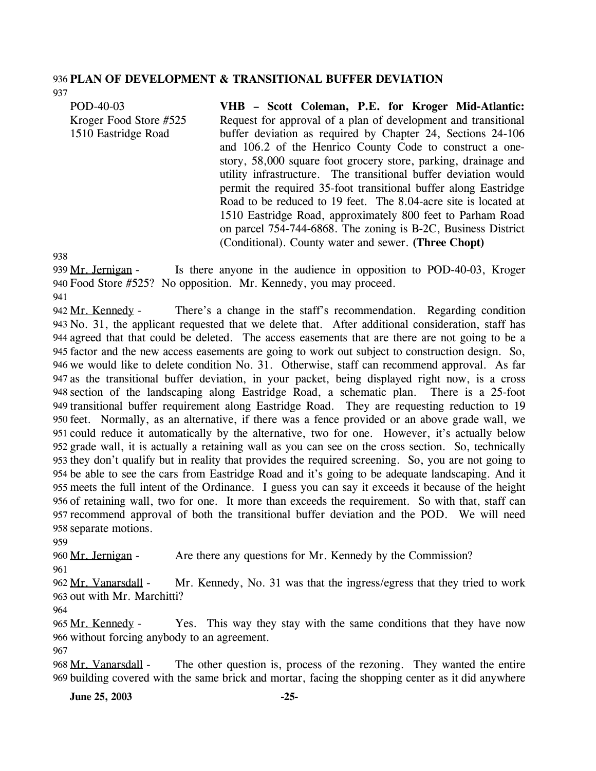#### 936 **PLAN OF DEVELOPMENT & TRANSITIONAL BUFFER DEVIATION**

POD-40-03 Kroger Food Store #525 1510 Eastridge Road **VHB – Scott Coleman, P.E. for Kroger Mid-Atlantic:**  Request for approval of a plan of development and transitional buffer deviation as required by Chapter 24, Sections 24-106 and 106.2 of the Henrico County Code to construct a onestory, 58,000 square foot grocery store, parking, drainage and utility infrastructure. The transitional buffer deviation would permit the required 35-foot transitional buffer along Eastridge Road to be reduced to 19 feet. The 8.04-acre site is located at 1510 Eastridge Road, approximately 800 feet to Parham Road on parcel 754-744-6868. The zoning is B-2C, Business District (Conditional). County water and sewer. **(Three Chopt)** 

938

937

Is there anyone in the audience in opposition to POD-40-03, Kroger Food Store #525? No opposition. Mr. Kennedy, you may proceed. 940 939 Mr. Jernigan -

941

There's a change in the staff's recommendation. Regarding condition 943 No. 31, the applicant requested that we delete that. After additional consideration, staff has agreed that that could be deleted. The access easements that are there are not going to be a 944 factor and the new access easements are going to work out subject to construction design. So, 945 946 we would like to delete condition No. 31. Otherwise, staff can recommend approval. As far as the transitional buffer deviation, in your packet, being displayed right now, is a cross 947 948 section of the landscaping along Eastridge Road, a schematic plan. There is a 25-foot 949 transitional buffer requirement along Eastridge Road. They are requesting reduction to 19 950 feet. Normally, as an alternative, if there was a fence provided or an above grade wall, we 951 could reduce it automatically by the alternative, two for one. However, it's actually below grade wall, it is actually a retaining wall as you can see on the cross section. So, technically 952 953 they don't qualify but in reality that provides the required screening. So, you are not going to 954 be able to see the cars from Eastridge Road and it's going to be adequate landscaping. And it meets the full intent of the Ordinance. I guess you can say it exceeds it because of the height 955 956 of retaining wall, two for one. It more than exceeds the requirement. So with that, staff can 957 recommend approval of both the transitional buffer deviation and the POD. We will need 958 separate motions. 942 Mr. Kennedy -

959

960 Mr. Jernigan - Are there any questions for Mr. Kennedy by the Commission?

961

Mr. Kennedy, No. 31 was that the ingress/egress that they tried to work 963 out with Mr. Marchitti? 962 Mr. Vanarsdall -

964

Yes. This way they stay with the same conditions that they have now 966 without forcing anybody to an agreement. 965 Mr. Kennedy -

967

The other question is, process of the rezoning. They wanted the entire 969 building covered with the same brick and mortar, facing the shopping center as it did anywhere 968 Mr. Vanarsdall -

**June 25, 2003 -25-**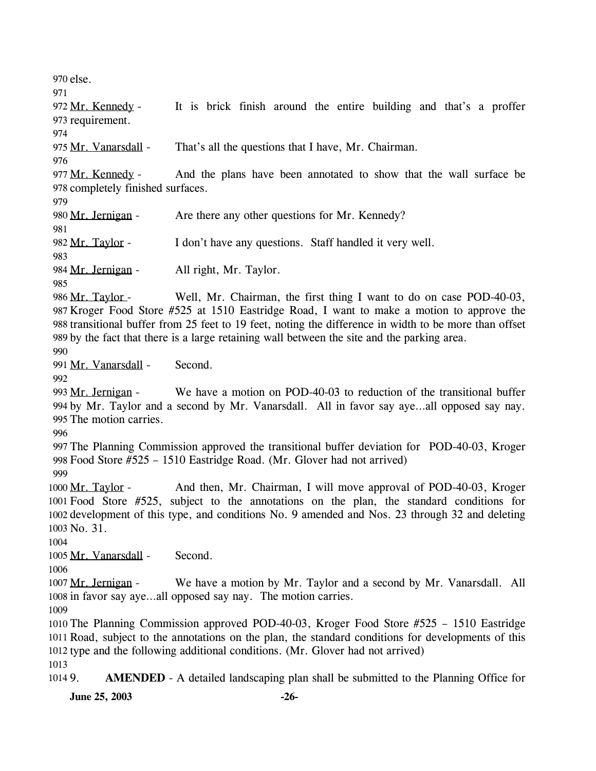970 else. 971 It is brick finish around the entire building and that's a proffer 973 requirement. 972 Mr. Kennedy -974 975 Mr. Vanarsdall - That's all the questions that I have, Mr. Chairman. 976 And the plans have been annotated to show that the wall surface be 978 completely finished surfaces. 977 Mr. Kennedy -979 980 Mr. Jernigan - Are there any other questions for Mr. Kennedy? 981 982 Mr. Taylor - I don't have any questions. Staff handled it very well. 983 984 Mr. Jernigan - All right, Mr. Taylor. 985 Well, Mr. Chairman, the first thing I want to do on case POD-40-03, Kroger Food Store #525 at 1510 Eastridge Road, I want to make a motion to approve the 987 988 transitional buffer from 25 feet to 19 feet, noting the difference in width to be more than offset 989 by the fact that there is a large retaining wall between the site and the parking area. 986 Mr. Taylor -990 991 Mr. Vanarsdall - Second.  $992$ We have a motion on POD-40-03 to reduction of the transitional buffer 994 by Mr. Taylor and a second by Mr. Vanarsdall. All in favor say aye...all opposed say nay. 995 The motion carries. 993 Mr. Jernigan -996 997 The Planning Commission approved the transitional buffer deviation for POD-40-03, Kroger 998 Food Store #525 – 1510 Eastridge Road. (Mr. Glover had not arrived) 999 And then, Mr. Chairman, I will move approval of POD-40-03, Kroger Food Store #525, subject to the annotations on the plan, the standard conditions for 1001 1002 development of this type, and conditions No. 9 amended and Nos. 23 through 32 and deleting No. 31. 1003 1000 Mr. Taylor -1004 1005 Mr. Vanarsdall - Second. 1006 We have a motion by Mr. Taylor and a second by Mr. Vanarsdall. All 1008 in favor say aye...all opposed say nay. The motion carries. 1007 Mr. Jernigan -1009 1010 The Planning Commission approved POD-40-03, Kroger Food Store #525 – 1510 Eastridge 1011 Road, subject to the annotations on the plan, the standard conditions for developments of this 1012 type and the following additional conditions. (Mr. Glover had not arrived) 1013 1014 9. **AMENDED** - A detailed landscaping plan shall be submitted to the Planning Office for **June 25, 2003** -26-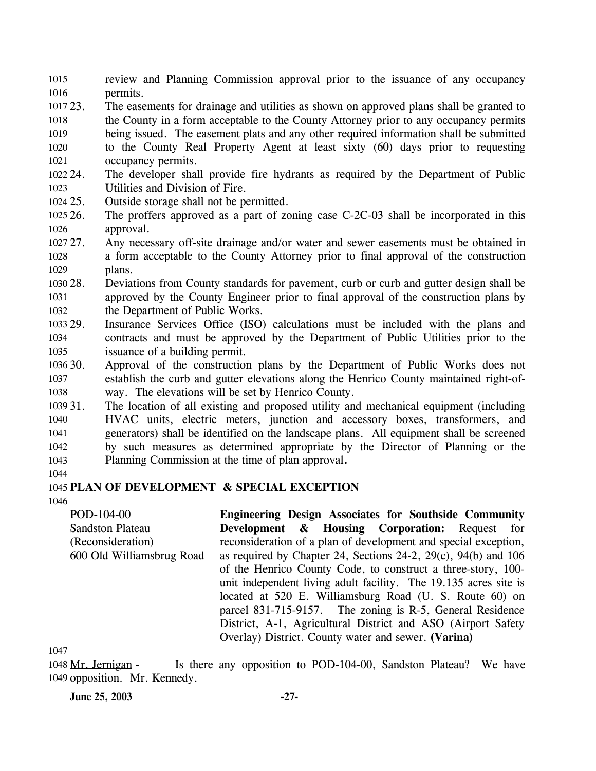review and Planning Commission approval prior to the issuance of any occupancy permits. 1015 1016

1017 23. 1018 1019 1020 1021 The easements for drainage and utilities as shown on approved plans shall be granted to the County in a form acceptable to the County Attorney prior to any occupancy permits being issued. The easement plats and any other required information shall be submitted to the County Real Property Agent at least sixty (60) days prior to requesting occupancy permits.

- 1022 24. 1023 The developer shall provide fire hydrants as required by the Department of Public Utilities and Division of Fire.
- 1024 25. Outside storage shall not be permitted.
- 1025 26. 1026 The proffers approved as a part of zoning case  $C$ -2C-03 shall be incorporated in this approval.
- 1027 27. 1028 1029 Any necessary off-site drainage and/or water and sewer easements must be obtained in a form acceptable to the County Attorney prior to final approval of the construction plans.
- 1030 28. 1031 1032 28. Deviations from County standards for pavement, curb or curb and gutter design shall be approved by the County Engineer prior to final approval of the construction plans by the Department of Public Works.
- 1033 29. 1034 1035 Insurance Services Office (ISO) calculations must be included with the plans and contracts and must be approved by the Department of Public Utilities prior to the issuance of a building permit.
- 1036 30. 1037 1038 Approval of the construction plans by the Department of Public Works does not establish the curb and gutter elevations along the Henrico County maintained right-ofway. The elevations will be set by Henrico County.
- 1039 31. 1040 1041 1042 1043 The location of all existing and proposed utility and mechanical equipment (including HVAC units, electric meters, junction and accessory boxes, transformers, and generators) shall be identified on the landscape plans. All equipment shall be screened by such measures as determined appropriate by the Director of Planning or the Planning Commission at the time of plan approval**.**
- 1044

### 1045 **PLAN OF DEVELOPMENT & SPECIAL EXCEPTION**

1046

POD-104-00 Sandston Plateau (Reconsideration) 600 Old Williamsbrug Road

**Engineering Design Associates for Southside Community Development & Housing Corporation:** Request for reconsideration of a plan of development and special exception, as required by Chapter 24, Sections 24-2, 29(c), 94(b) and 106 of the Henrico County Code, to construct a three-story, 100 unit independent living adult facility. The 19.135 acres site is located at 520 E. Williamsburg Road (U. S. Route 60) on parcel 831-715-9157. The zoning is R-5, General Residence District, A-1, Agricultural District and ASO (Airport Safety Overlay) District. County water and sewer. **(Varina)** 

1047

Is there any opposition to POD-104-00, Sandston Plateau? We have 1049 opposition. Mr. Kennedy. 1048 Mr. Jernigan -

**June 25, 2003 -27-**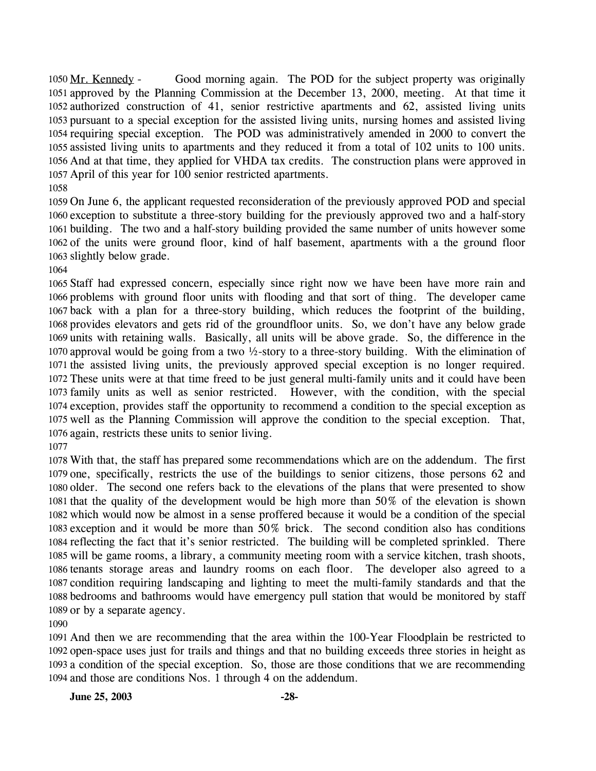Good morning again. The POD for the subject property was originally 1051 approved by the Planning Commission at the December 13, 2000, meeting. At that time it 1052 authorized construction of 41, senior restrictive apartments and 62, assisted living units 1053 pursuant to a special exception for the assisted living units, nursing homes and assisted living 1054 requiring special exception. The POD was administratively amended in 2000 to convert the 1055 assisted living units to apartments and they reduced it from a total of 102 units to 100 units. 1056 And at that time, they applied for VHDA tax credits. The construction plans were approved in 1057 April of this year for 100 senior restricted apartments. 1050 Mr. Kennedy -

 On June 6, the applicant requested reconsideration of the previously approved POD and special exception to substitute a three-story building for the previously approved two and a half-story building. The two and a half-story building provided the same number of units however some of the units were ground floor, kind of half basement, apartments with a the ground floor slightly below grade.

 Staff had expressed concern, especially since right now we have been have more rain and problems with ground floor units with flooding and that sort of thing. The developer came back with a plan for a three-story building, which reduces the footprint of the building, provides elevators and gets rid of the groundfloor units. So, we don't have any below grade units with retaining walls. Basically, all units will be above grade. So, the difference in the approval would be going from a two ½-story to a three-story building. With the elimination of the assisted living units, the previously approved special exception is no longer required. These units were at that time freed to be just general multi-family units and it could have been family units as well as senior restricted. However, with the condition, with the special exception, provides staff the opportunity to recommend a condition to the special exception as well as the Planning Commission will approve the condition to the special exception. That, again, restricts these units to senior living.

 With that, the staff has prepared some recommendations which are on the addendum. The first one, specifically, restricts the use of the buildings to senior citizens, those persons 62 and older. The second one refers back to the elevations of the plans that were presented to show that the quality of the development would be high more than 50% of the elevation is shown which would now be almost in a sense proffered because it would be a condition of the special exception and it would be more than 50% brick. The second condition also has conditions reflecting the fact that it's senior restricted. The building will be completed sprinkled. There will be game rooms, a library, a community meeting room with a service kitchen, trash shoots, tenants storage areas and laundry rooms on each floor. The developer also agreed to a condition requiring landscaping and lighting to meet the multi-family standards and that the bedrooms and bathrooms would have emergency pull station that would be monitored by staff or by a separate agency.

 And then we are recommending that the area within the 100-Year Floodplain be restricted to open-space uses just for trails and things and that no building exceeds three stories in height as a condition of the special exception. So, those are those conditions that we are recommending and those are conditions Nos. 1 through 4 on the addendum.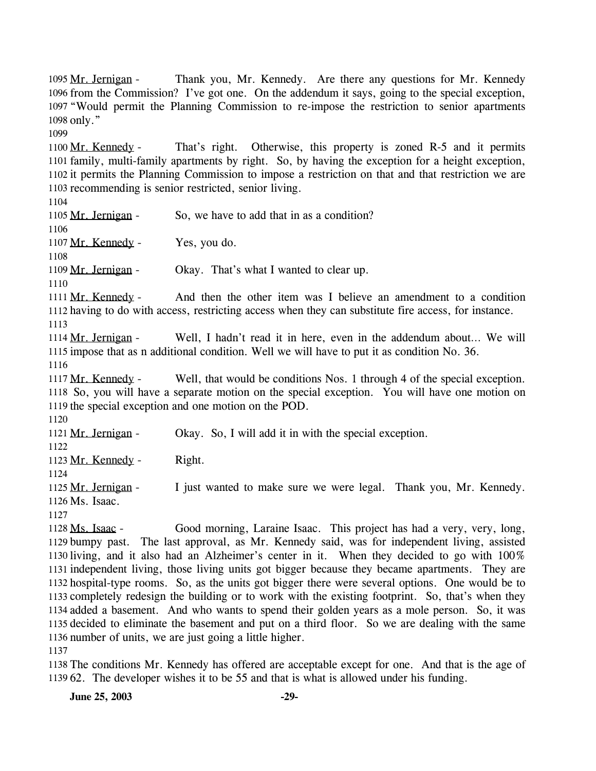Thank you, Mr. Kennedy. Are there any questions for Mr. Kennedy. 1096 from the Commission? I've got one. On the addendum it says, going to the special exception, 1097 "Would permit the Planning Commission to re-impose the restriction to senior apartments 1098 only." 1095 Mr. Jernigan -1099 That's right. Otherwise, this property is zoned R-5 and it permits 1101 family, multi-family apartments by right. So, by having the exception for a height exception, 1102 it permits the Planning Commission to impose a restriction on that and that restriction we are 1103 recommending is senior restricted, senior living. 1100 Mr. Kennedy -1104 1105 Mr. Jernigan - So, we have to add that in as a condition? 1106 1107 Mr. Kennedy - Yes, you do. 1108 1109 Mr. Jernigan - Okay. That's what I wanted to clear up. 1110 And then the other item was I believe an amendment to a condition 1112 having to do with access, restricting access when they can substitute fire access, for instance. 1111 Mr. Kennedy -1113 Well, I hadn't read it in here, even in the addendum about... We will 1115 impose that as n additional condition. Well we will have to put it as condition No. 36. 1114 Mr. Jernigan -1116 Well, that would be conditions Nos. 1 through 4 of the special exception. 1118 So, you will have a separate motion on the special exception. You will have one motion on 1119 the special exception and one motion on the POD. 1117 Mr. Kennedy -1120 1121 Mr. Jernigan - Okay. So, I will add it in with the special exception. 1122 1123 Mr. Kennedy - Right. 1124 I just wanted to make sure we were legal. Thank you, Mr. Kennedy. 1126 Ms. Isaac. 1125 Mr. Jernigan -1127 Good morning, Laraine Isaac. This project has had a very, very, long, 1129 bumpy past. The last approval, as Mr. Kennedy said, was for independent living, assisted living, and it also had an Alzheimer's center in it. When they decided to go with 100% 1130 1131 independent living, those living units got bigger because they became apartments. They are 1132 hospital-type rooms. So, as the units got bigger there were several options. One would be to 1133 completely redesign the building or to work with the existing footprint. So, that's when they 1134 added a basement. And who wants to spend their golden years as a mole person. So, it was 1128 Ms. Isaac -

1136 number of units, we are just going a little higher. 1137

1138 The conditions Mr. Kennedy has offered are acceptable except for one. And that is the age of 1139 62. The developer wishes it to be 55 and that is what is allowed under his funding.

1135 decided to eliminate the basement and put on a third floor. So we are dealing with the same

**June 25, 2003** -29-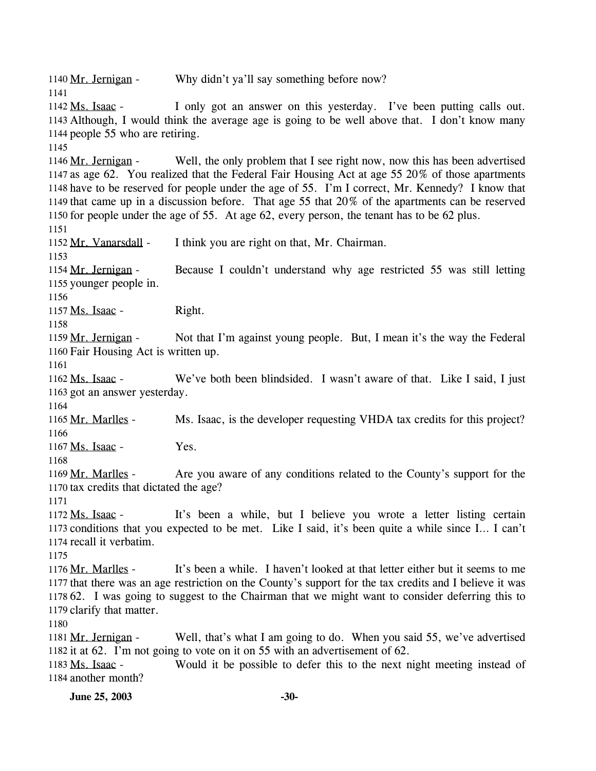1140 Mr. Jernigan - Why didn't ya'll say something before now? 1141 I only got an answer on this yesterday. I've been putting calls out. Although, I would think the average age is going to be well above that. I don't know many 1143 1144 people 55 who are retiring. 1142 Ms. Isaac -1145 Well, the only problem that I see right now, now this has been advertised 1147 as age 62. You realized that the Federal Fair Housing Act at age 55  $20\%$  of those apartments 1148 have to be reserved for people under the age of 55. I'm I correct, Mr. Kennedy? I know that 1149 that came up in a discussion before. That age  $55$  that  $20\%$  of the apartments can be reserved 1150 for people under the age of 55. At age 62, every person, the tenant has to be 62 plus. 1146 Mr. Jernigan -1151 1152 Mr. Vanarsdall - I think you are right on that, Mr. Chairman. 1153 Because I couldn't understand why age restricted 55 was still letting 1155 younger people in. 1154 Mr. Jernigan -1156 1157  $Ms. Isaac -$  Right. 1158 Not that I'm against young people. But, I mean it's the way the Federal 1160 Fair Housing Act is written up. 1159 Mr. Jernigan -1161 We've both been blindsided. I wasn't aware of that. Like I said, I just 1163 got an answer yesterday. 1162 Ms. Isaac -1164 1165 Mr. Marlles - Ms. Isaac, is the developer requesting VHDA tax credits for this project? 1166 1167 Ms. Isaac - Yes. 1168 Are you aware of any conditions related to the County's support for the 1170 tax credits that dictated the age? 1169 Mr. Marlles -1171 It's been a while, but I believe you wrote a letter listing certain 1173 conditions that you expected to be met. Like I said, it's been quite a while since I... I can't 1174 recall it verbatim. 1172 Ms. Isaac -1175 It's been a while. I haven't looked at that letter either but it seems to me 1177 that there was an age restriction on the County's support for the tax credits and I believe it was 62. I was going to suggest to the Chairman that we might want to consider deferring this to 1178 1179 clarify that matter. 1176 Mr. Marlles -1180 Well, that's what I am going to do. When you said 55, we've advertised 1182 it at 62. I'm not going to vote on it on 55 with an advertisement of 62. 1181 Mr. Jernigan -Would it be possible to defer this to the next night meeting instead of 1184 another month? 1183 Ms. Isaac -

**June 25, 2003** -30-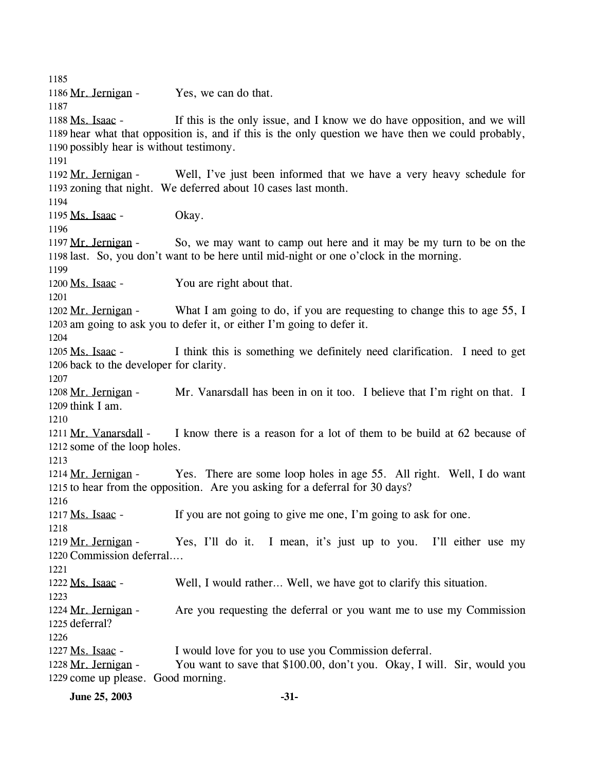1185 1186 Mr. Jernigan - Yes, we can do that. 1187 If this is the only issue, and I know we do have opposition, and we will 1189 hear what that opposition is, and if this is the only question we have then we could probably, 1190 possibly hear is without testimony. 1188 Ms. Isaac -1191 Well, I've just been informed that we have a very heavy schedule for 1193 zoning that night. We deferred about 10 cases last month. 1192 Mr. Jernigan -1194 1195 Ms. Isaac - Okay. 1196 So, we may want to camp out here and it may be my turn to be on the 1198 last. So, you don't want to be here until mid-night or one o'clock in the morning. 1197 Mr. Jernigan -1199 1200 Ms. Isaac - You are right about that. 1201 What I am going to do, if you are requesting to change this to age  $55$ , I 1203 am going to ask you to defer it, or either I'm going to defer it. 1202 Mr. Jernigan -1204 I think this is something we definitely need clarification. I need to get 1206 back to the developer for clarity. 1205 Ms. Isaac -1207 Mr. Vanarsdall has been in on it too. I believe that I'm right on that. I 1209 think I am. 1208 Mr. Jernigan -1210 I know there is a reason for a lot of them to be build at 62 because of 1212 some of the loop holes. 1211 Mr. Vanarsdall -1213 Yes. There are some loop holes in age 55. All right. Well, I do want 1215 to hear from the opposition. Are you asking for a deferral for 30 days? 1214 Mr. Jernigan -1216 1217 Ms. Isaac - If you are not going to give me one, I'm going to ask for one. 1218 Yes, I'll do it. I mean, it's just up to you. I'll either use my 1220 Commission deferral.... 1219 Mr. Jernigan -1221 1222 Ms. Isaac - Well, I would rather… Well, we have got to clarify this situation. 1223 Are you requesting the deferral or you want me to use my Commission 1225 deferral? 1224 Mr. Jernigan -1226 1227 Ms. Isaac - I would love for you to use you Commission deferral. You want to save that \$100.00, don't you. Okay, I will. Sir, would you 1229 come up please. Good morning. 1228 Mr. Jernigan -

**June 25, 2003 -31-**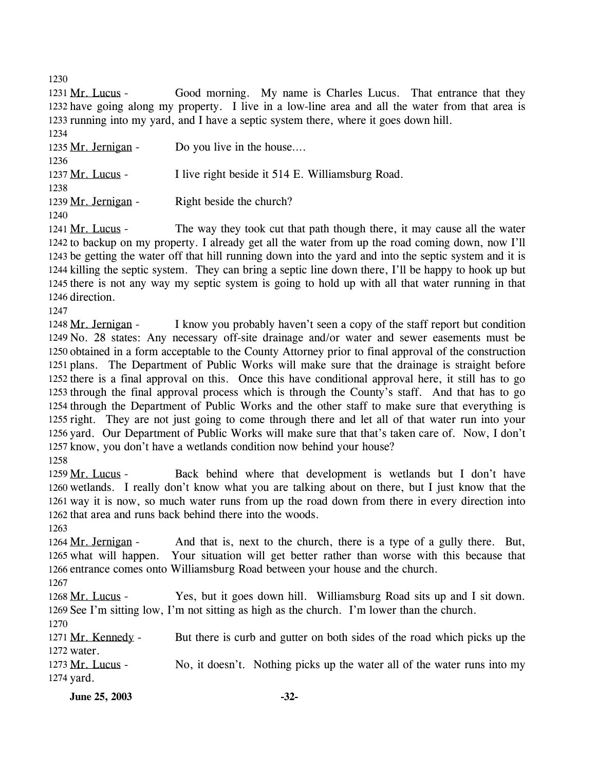1230

Good morning. My name is Charles Lucus. That entrance that they 1232 have going along my property. I live in a low-line area and all the water from that area is 1233 running into my yard, and I have a septic system there, where it goes down hill. 1231 Mr. Lucus -

| 1234                |                                                  |
|---------------------|--------------------------------------------------|
| 1235 Mr. Jernigan - | Do you live in the house                         |
| 1236                |                                                  |
| 1237 Mr. Lucus -    | I live right beside it 514 E. Williamsburg Road. |
| 1238                |                                                  |
| 1239 Mr. Jernigan - | Right beside the church?                         |
| 1240                |                                                  |

The way they took cut that path though there, it may cause all the water 1242 to backup on my property. I already get all the water from up the road coming down, now I'll 1243 be getting the water off that hill running down into the yard and into the septic system and it is 1244 killing the septic system. They can bring a septic line down there, I'll be happy to hook up but 1245 there is not any way my septic system is going to hold up with all that water running in that 1246 direction. 1241 Mr. Lucus -

1247

I know you probably haven't seen a copy of the staff report but condition 1249 No. 28 states: Any necessary off-site drainage and/or water and sewer easements must be 1250 obtained in a form acceptable to the County Attorney prior to final approval of the construction 1251 plans. The Department of Public Works will make sure that the drainage is straight before 1252 there is a final approval on this. Once this have conditional approval here, it still has to go 1253 through the final approval process which is through the County's staff. And that has to go 1254 through the Department of Public Works and the other staff to make sure that everything is 1255 right. They are not just going to come through there and let all of that water run into your 1256 yard. Our Department of Public Works will make sure that that's taken care of. Now, I don't 1257 know, you don't have a wetlands condition now behind your house? 1248 Mr. Jernigan -

1258

Back behind where that development is wetlands but I don't have 1260 wetlands. I really don't know what you are talking about on there, but I just know that the 1261 way it is now, so much water runs from up the road down from there in every direction into 1262 that area and runs back behind there into the woods. 1259 Mr. Lucus -

1263

And that is, next to the church, there is a type of a gully there. But, 1265 what will happen. Your situation will get better rather than worse with this because that 1266 entrance comes onto Williamsburg Road between your house and the church. 1264 Mr. Jernigan -

1267

Yes, but it goes down hill. Williamsburg Road sits up and I sit down. 1269 See I'm sitting low, I'm not sitting as high as the church. I'm lower than the church. 1268 Mr. Lucus -

1270

But there is curb and gutter on both sides of the road which picks up the 1272 water. 1271 Mr. Kennedy -

No, it doesn't. Nothing picks up the water all of the water runs into my 1274 yard. 1273 Mr. Lucus -

**June 25, 2003 -32-**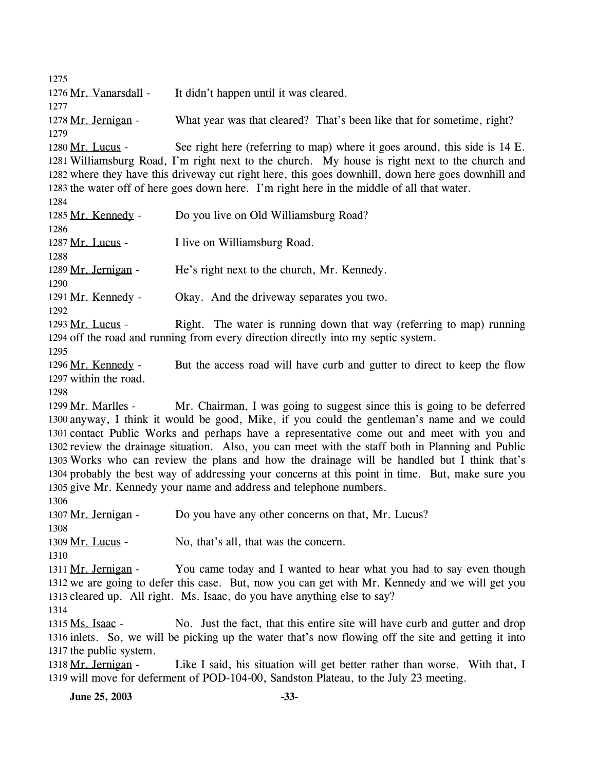1275 1276 Mr. Vanarsdall - It didn't happen until it was cleared. 1277 1278 Mr. Jernigan - What year was that cleared? That's been like that for sometime, right? 1279 See right here (referring to map) where it goes around, this side is 14 E. Williamsburg Road, I'm right next to the church. My house is right next to the church and 1281 1282 where they have this driveway cut right here, this goes downhill, down here goes downhill and 1283 the water off of here goes down here. I'm right here in the middle of all that water. 1280 Mr. Lucus -1284 1285 Mr. Kennedy - Do you live on Old Williamsburg Road? 1286 1287 Mr. Lucus - I live on Williamsburg Road. 1288 1289 Mr. Jernigan - He's right next to the church, Mr. Kennedy. 1290 1291 Mr. Kennedy - Okay. And the driveway separates you two. 1292 Right. The water is running down that way (referring to map) running 1294 off the road and running from every direction directly into my septic system. 1293 Mr. Lucus -1295 But the access road will have curb and gutter to direct to keep the flow 1297 within the road. 1296 Mr. Kennedy -1298 Mr. Chairman, I was going to suggest since this is going to be deferred 1300 anyway, I think it would be good, Mike, if you could the gentleman's name and we could 1301 contact Public Works and perhaps have a representative come out and meet with you and 1302 review the drainage situation. Also, you can meet with the staff both in Planning and Public 1303 Works who can review the plans and how the drainage will be handled but I think that's 1304 probably the best way of addressing your concerns at this point in time. But, make sure you 1305 give Mr. Kennedy your name and address and telephone numbers. 1299 Mr. Marlles -1306 1307 Mr. Jernigan - Do you have any other concerns on that, Mr. Lucus? 1308 1309 Mr. Lucus - No, that's all, that was the concern. 1310 You came today and I wanted to hear what you had to say even though 1312 we are going to defer this case. But, now you can get with Mr. Kennedy and we will get you 1313 cleared up. All right. Ms. Isaac, do you have anything else to say? 1311 Mr. Jernigan -1314 No. Just the fact, that this entire site will have curb and gutter and drop 1316 inlets. So, we will be picking up the water that's now flowing off the site and getting it into 1317 the public system. 1315 Ms. Isaac -Like I said, his situation will get better rather than worse. With that, I 1319 will move for deferment of POD-104-00, Sandston Plateau, to the July 23 meeting. 1318 Mr. Jernigan -

**June 25, 2003 -33-**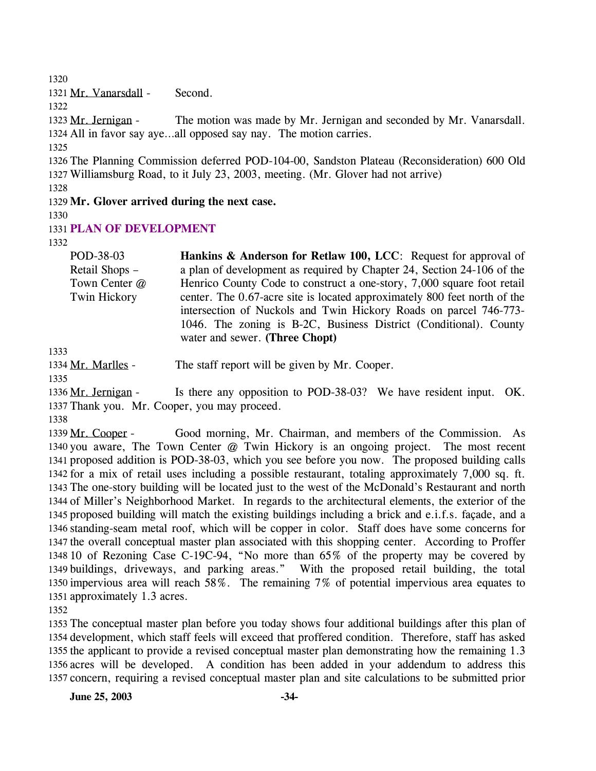1320

1321 Mr. Vanarsdall - Second.

1322

The motion was made by Mr. Jernigan and seconded by Mr. Vanarsdall. 1324 All in favor say aye...all opposed say nay. The motion carries. 1323 Mr. Jernigan -

1325

1326 The Planning Commission deferred POD-104-00, Sandston Plateau (Reconsideration) 600 Old 1327 Williamsburg Road, to it July 23, 2003, meeting. (Mr. Glover had not arrive)

1328

1329 **Mr. Glover arrived during the next case.** 

1330

1331 **PLAN OF DEVELOPMENT** 

1332

POD-38-03 Retail Shops – Town Center @ Twin Hickory **Hankins & Anderson for Retlaw 100, LCC**: Request for approval of a plan of development as required by Chapter 24, Section 24-106 of the Henrico County Code to construct a one-story, 7,000 square foot retail center. The 0.67-acre site is located approximately 800 feet north of the intersection of Nuckols and Twin Hickory Roads on parcel 746-773- 1046. The zoning is B-2C, Business District (Conditional). County water and sewer. **(Three Chopt)**

1333

1334 Mr. Marlles - The staff report will be given by Mr. Cooper.

1335

Is there any opposition to POD-38-03? We have resident input. OK. 1337 Thank you. Mr. Cooper, you may proceed. 1336 Mr. Jernigan -

1338

Good morning, Mr. Chairman, and members of the Commission. As 1340 you aware, The Town Center @ Twin Hickory is an ongoing project. The most recent 1341 proposed addition is POD-38-03, which you see before you now. The proposed building calls 1342 for a mix of retail uses including a possible restaurant, totaling approximately 7,000 sq. ft. 1343 The one-story building will be located just to the west of the McDonald's Restaurant and north 1344 of Miller's Neighborhood Market. In regards to the architectural elements, the exterior of the 1345 proposed building will match the existing buildings including a brick and e.i.f.s. façade, and a 1346 standing-seam metal roof, which will be copper in color. Staff does have some concerns for 1347 the overall conceptual master plan associated with this shopping center. According to Proffer 1348 10 of Rezoning Case C-19C-94, "No more than 65% of the property may be covered by 1349 buildings, driveways, and parking areas." With the proposed retail building, the total 1350 impervious area will reach  $58\%$ . The remaining 7% of potential impervious area equates to 1351 approximately 1.3 acres. 1339 Mr. Cooper -

1352

 The conceptual master plan before you today shows four additional buildings after this plan of development, which staff feels will exceed that proffered condition. Therefore, staff has asked the applicant to provide a revised conceptual master plan demonstrating how the remaining 1.3 acres will be developed. A condition has been added in your addendum to address this concern, requiring a revised conceptual master plan and site calculations to be submitted prior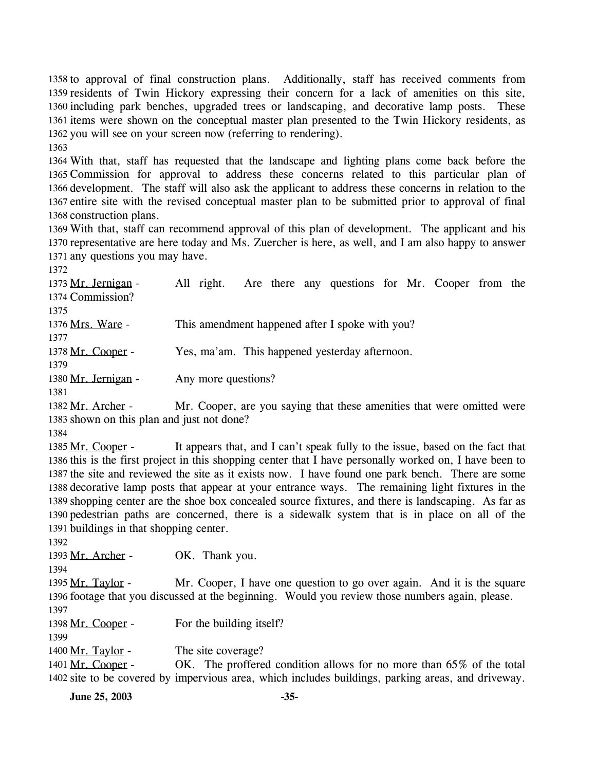1358 to approval of final construction plans. Additionally, staff has received comments from 1359 residents of Twin Hickory expressing their concern for a lack of amenities on this site, 1360 including park benches, upgraded trees or landscaping, and decorative lamp posts. These 1361 items were shown on the conceptual master plan presented to the Twin Hickory residents, as 1362 you will see on your screen now (referring to rendering). 1363

 With that, staff has requested that the landscape and lighting plans come back before the Commission for approval to address these concerns related to this particular plan of development. The staff will also ask the applicant to address these concerns in relation to the entire site with the revised conceptual master plan to be submitted prior to approval of final construction plans.

1369 With that, staff can recommend approval of this plan of development. The applicant and his 1370 representative are here today and Ms. Zuercher is here, as well, and I am also happy to answer 1371 any questions you may have.

1372

All right. Are there any questions for Mr. Cooper from the 1374 Commission? 1373 Mr. Jernigan -1375 1376 Mrs. Ware - This amendment happened after I spoke with you? 1377 1378 Mr. Cooper - Yes, ma'am. This happened yesterday afternoon. 1379 1380 Mr. Jernigan - Any more questions? 1381 Mr. Cooper, are you saying that these amenities that were omitted were 1382 Mr. Archer -

1383 shown on this plan and just not done?

1384

It appears that, and I can't speak fully to the issue, based on the fact that 1386 this is the first project in this shopping center that I have personally worked on, I have been to 1387 the site and reviewed the site as it exists now. I have found one park bench. There are some 1388 decorative lamp posts that appear at your entrance ways. The remaining light fixtures in the 1389 shopping center are the shoe box concealed source fixtures, and there is landscaping. As far as 1390 pedestrian paths are concerned, there is a sidewalk system that is in place on all of the 1391 buildings in that shopping center. 1385 Mr. Cooper -

1392

1399

1393 Mr. Archer - OK. Thank you.

1394

Mr. Cooper, I have one question to go over again. And it is the square 1396 footage that you discussed at the beginning. Would you review those numbers again, please. 1395 Mr. Taylor -1397

1398 Mr. Cooper - For the building itself?

1400 Mr. Taylor - The site coverage?

OK. The proffered condition allows for no more than  $65\%$  of the total 1402 site to be covered by impervious area, which includes buildings, parking areas, and driveway. 1401 Mr. Cooper -

**June 25, 2003 -35-**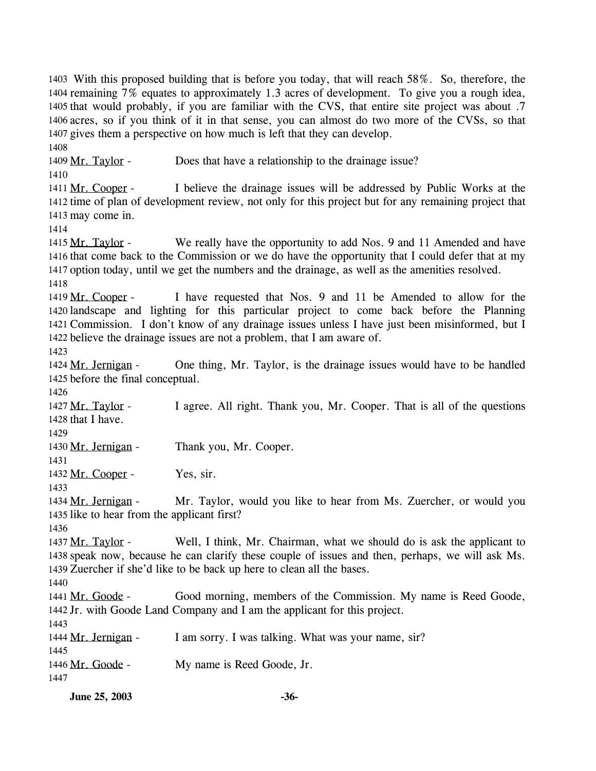1403 With this proposed building that is before you today, that will reach 58%. So, therefore, the 1404 remaining 7% equates to approximately 1.3 acres of development. To give you a rough idea, 1405 that would probably, if you are familiar with the CVS, that entire site project was about .7 1406 acres, so if you think of it in that sense, you can almost do two more of the CVSs, so that 1407 gives them a perspective on how much is left that they can develop. 1408

1409 Mr. Taylor - Does that have a relationship to the drainage issue? 1410

I believe the drainage issues will be addressed by Public Works at the 1412 time of plan of development review, not only for this project but for any remaining project that 1413 may come in. 1411 Mr. Cooper -

1414

We really have the opportunity to add Nos. 9 and 11 Amended and have 1416 that come back to the Commission or we do have the opportunity that I could defer that at my 1417 option today, until we get the numbers and the drainage, as well as the amenities resolved. 1415 Mr. Taylor -1418

I have requested that Nos. 9 and 11 be Amended to allow for the landscape and lighting for this particular project to come back before the Planning 1420 1421 Commission. I don't know of any drainage issues unless I have just been misinformed, but I 1422 believe the drainage issues are not a problem, that I am aware of. 1419 Mr. Cooper -

1423

1426

1429

One thing, Mr. Taylor, is the drainage issues would have to be handled 1425 before the final conceptual. 1424 Mr. Jernigan -

I agree. All right. Thank you, Mr. Cooper. That is all of the questions 1428 that I have. 1427 Mr. Taylor -

1430 Mr. Jernigan - Thank you, Mr. Cooper.

1431

1432 Mr. Cooper - Yes, sir.

1433

Mr. Taylor, would you like to hear from Ms. Zuercher, or would you 1435 like to hear from the applicant first? 1434 Mr. Jernigan -

1436

Well, I think, Mr. Chairman, what we should do is ask the applicant to 1438 speak now, because he can clarify these couple of issues and then, perhaps, we will ask Ms. 1439 Zuercher if she'd like to be back up here to clean all the bases. 1437 Mr. Taylor -

1440

Good morning, members of the Commission. My name is Reed Goode, 1442 Jr. with Goode Land Company and I am the applicant for this project. 1441 Mr. Goode -

1443 1444 Mr. Jernigan - I am sorry. I was talking. What was your name, sir? 1445 1446 Mr. Goode - My name is Reed Goode, Jr. 1447

**June 25, 2003 -36-**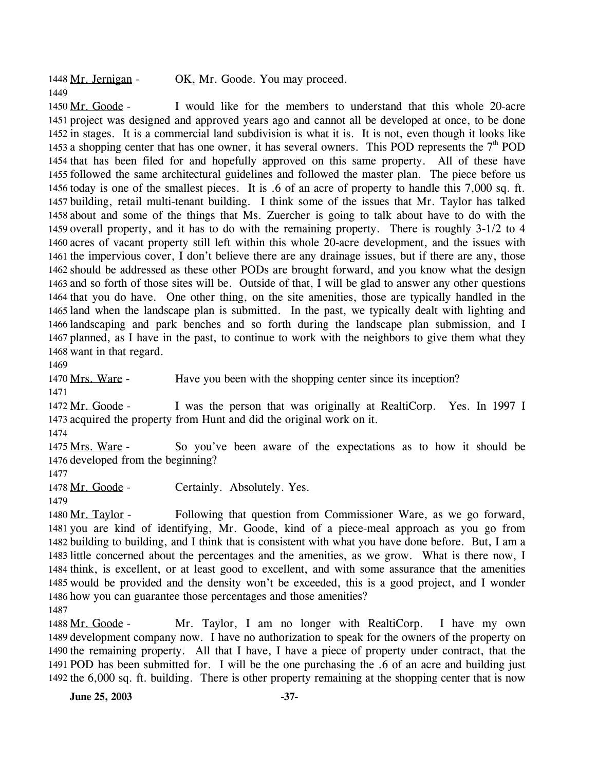1448 Mr. Jernigan - OK, Mr. Goode. You may proceed. 1449

I would like for the members to understand that this whole 20-acre 1451 project was designed and approved years ago and cannot all be developed at once, to be done 1452 in stages. It is a commercial land subdivision is what it is. It is not, even though it looks like 1453 a shopping center that has one owner, it has several owners. This POD represents the  $7<sup>th</sup>$  POD 1450 Mr. Goode - that has been filed for and hopefully approved on this same property. All of these have followed the same architectural guidelines and followed the master plan. The piece before us today is one of the smallest pieces. It is .6 of an acre of property to handle this 7,000 sq. ft. building, retail multi-tenant building. I think some of the issues that Mr. Taylor has talked about and some of the things that Ms. Zuercher is going to talk about have to do with the overall property, and it has to do with the remaining property. There is roughly 3-1/2 to 4 acres of vacant property still left within this whole 20-acre development, and the issues with the impervious cover, I don't believe there are any drainage issues, but if there are any, those should be addressed as these other PODs are brought forward, and you know what the design and so forth of those sites will be. Outside of that, I will be glad to answer any other questions that you do have. One other thing, on the site amenities, those are typically handled in the land when the landscape plan is submitted. In the past, we typically dealt with lighting and landscaping and park benches and so forth during the landscape plan submission, and I planned, as I have in the past, to continue to work with the neighbors to give them what they want in that regard.

1469

1470 Mrs. Ware - Have you been with the shopping center since its inception?

1471

I was the person that was originally at RealtiCorp. Yes. In 1997 I 1473 acquired the property from Hunt and did the original work on it. 1472 Mr. Goode -

1474

So you've been aware of the expectations as to how it should be 1476 developed from the beginning? 1475 Mrs. Ware -

1477

1478 Mr. Goode - Certainly. Absolutely. Yes.

1479

Following that question from Commissioner Ware, as we go forward, 1481 you are kind of identifying, Mr. Goode, kind of a piece-meal approach as you go from 1482 building to building, and I think that is consistent with what you have done before. But, I am a 1483 little concerned about the percentages and the amenities, as we grow. What is there now, I 1484 think, is excellent, or at least good to excellent, and with some assurance that the amenities 1485 would be provided and the density won't be exceeded, this is a good project, and I wonder 1486 how you can guarantee those percentages and those amenities? 1480 Mr. Taylor -1487

Mr. Taylor, I am no longer with RealtiCorp. I have my own 1489 development company now. I have no authorization to speak for the owners of the property on 1490 the remaining property. All that I have, I have a piece of property under contract, that the 1491 POD has been submitted for. I will be the one purchasing the .6 of an acre and building just 1492 the 6,000 sq. ft. building. There is other property remaining at the shopping center that is now 1488 Mr. Goode -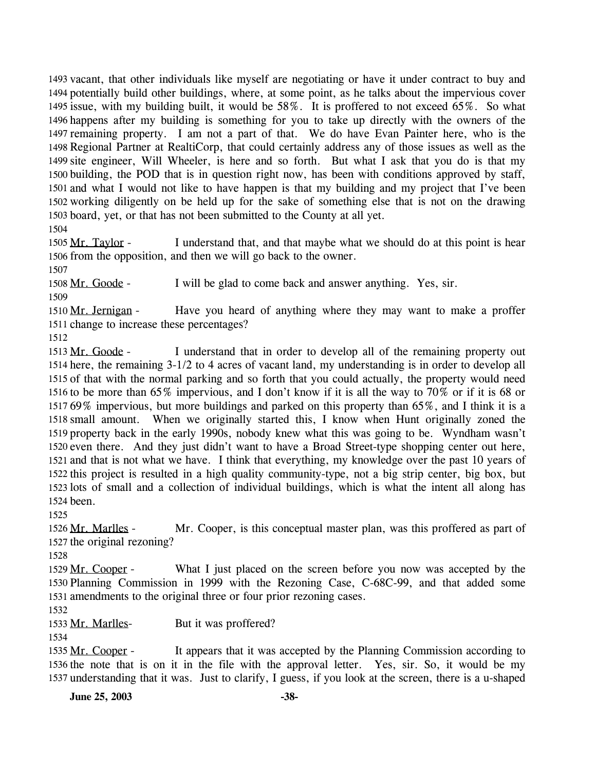1493 vacant, that other individuals like myself are negotiating or have it under contract to buy and 1494 potentially build other buildings, where, at some point, as he talks about the impervious cover 1495 issue, with my building built, it would be 58%. It is proffered to not exceed 65%. So what 1496 happens after my building is something for you to take up directly with the owners of the 1497 remaining property. I am not a part of that. We do have Evan Painter here, who is the 1498 Regional Partner at RealtiCorp, that could certainly address any of those issues as well as the 1499 site engineer, Will Wheeler, is here and so forth. But what I ask that you do is that my 1500 building, the POD that is in question right now, has been with conditions approved by staff, 1501 and what I would not like to have happen is that my building and my project that I've been 1502 working diligently on be held up for the sake of something else that is not on the drawing 1503 board, yet, or that has not been submitted to the County at all yet. 1504

I understand that, and that maybe what we should do at this point is hear 1506 from the opposition, and then we will go back to the owner. 1505 Mr. Taylor -

1507

1508 Mr. Goode - I will be glad to come back and answer anything. Yes, sir.

1509

Have you heard of anything where they may want to make a proffer 1511 change to increase these percentages? 1510 Mr. Jernigan -

1512

I understand that in order to develop all of the remaining property out 1514 here, the remaining 3-1/2 to 4 acres of vacant land, my understanding is in order to develop all 1515 of that with the normal parking and so forth that you could actually, the property would need 1516 to be more than  $65\%$  impervious, and I don't know if it is all the way to 70% or if it is 68 or 69% impervious, but more buildings and parked on this property than 65%, and I think it is a 1517 1518 small amount. When we originally started this, I know when Hunt originally zoned the 1519 property back in the early 1990s, nobody knew what this was going to be. Wyndham wasn't 1520 even there. And they just didn't want to have a Broad Street-type shopping center out here, 1521 and that is not what we have. I think that everything, my knowledge over the past 10 years of 1522 this project is resulted in a high quality community-type, not a big strip center, big box, but 1523 lots of small and a collection of individual buildings, which is what the intent all along has 1524 been. 1513 Mr. Goode -

1525

Mr. Cooper, is this conceptual master plan, was this proffered as part of 1527 the original rezoning? 1526 Mr. Marlles -

1528

What I just placed on the screen before you now was accepted by the Planning Commission in 1999 with the Rezoning Case, C-68C-99, and that added some 1530 1531 amendments to the original three or four prior rezoning cases. 1529 Mr. Cooper -

1532

1533 Mr. Marlles- But it was proffered?

1534

It appears that it was accepted by the Planning Commission according to 1536 the note that is on it in the file with the approval letter. Yes, sir. So, it would be my 1537 understanding that it was. Just to clarify, I guess, if you look at the screen, there is a u-shaped 1535 Mr. Cooper -

**June 25, 2003 -38-**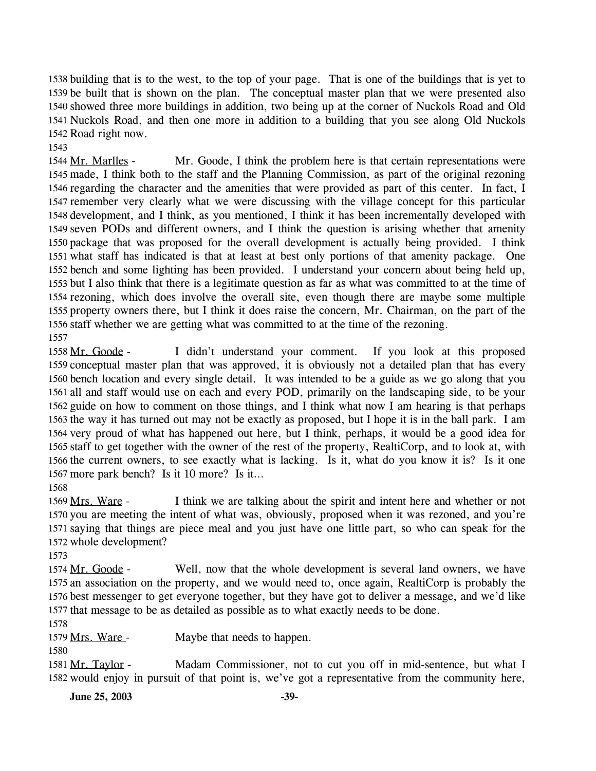1538 building that is to the west, to the top of your page. That is one of the buildings that is yet to 1539 be built that is shown on the plan. The conceptual master plan that we were presented also 1540 showed three more buildings in addition, two being up at the corner of Nuckols Road and Old 1541 Nuckols Road, and then one more in addition to a building that you see along Old Nuckols 1542 Road right now.

1543

Mr. Goode, I think the problem here is that certain representations were 1545 made, I think both to the staff and the Planning Commission, as part of the original rezoning 1546 regarding the character and the amenities that were provided as part of this center. In fact, I 1547 remember very clearly what we were discussing with the village concept for this particular 1548 development, and I think, as you mentioned, I think it has been incrementally developed with 1549 seven PODs and different owners, and I think the question is arising whether that amenity 1550 package that was proposed for the overall development is actually being provided. I think 1551 what staff has indicated is that at least at best only portions of that amenity package. One 1552 bench and some lighting has been provided. I understand your concern about being held up, 1553 but I also think that there is a legitimate question as far as what was committed to at the time of 1554 rezoning, which does involve the overall site, even though there are maybe some multiple 1555 property owners there, but I think it does raise the concern, Mr. Chairman, on the part of the 1556 staff whether we are getting what was committed to at the time of the rezoning. 1544 Mr. Marlles -1557

I didn't understand your comment. If you look at this proposed 1559 conceptual master plan that was approved, it is obviously not a detailed plan that has every 1560 bench location and every single detail. It was intended to be a guide as we go along that you 1561 all and staff would use on each and every POD, primarily on the landscaping side, to be your 1562 guide on how to comment on those things, and I think what now I am hearing is that perhaps 1563 the way it has turned out may not be exactly as proposed, but I hope it is in the ball park. I am 1564 very proud of what has happened out here, but I think, perhaps, it would be a good idea for 1565 staff to get together with the owner of the rest of the property, RealtiCorp, and to look at, with 1566 the current owners, to see exactly what is lacking. Is it, what do you know it is? Is it one 1567 more park bench? Is it 10 more? Is it... 1558 Mr. Goode -1568

I think we are talking about the spirit and intent here and whether or not 1570 you are meeting the intent of what was, obviously, proposed when it was rezoned, and you're 1571 saying that things are piece meal and you just have one little part, so who can speak for the 1572 whole development? 1569 Mrs. Ware -

1573

Well, now that the whole development is several land owners, we have 1575 an association on the property, and we would need to, once again, RealtiCorp is probably the 1576 best messenger to get everyone together, but they have got to deliver a message, and we'd like 1577 that message to be as detailed as possible as to what exactly needs to be done. 1574 Mr. Goode -

1578

1579 Mrs. Ware - Maybe that needs to happen.

1580

Madam Commissioner, not to cut you off in mid-sentence, but what I 1582 would enjoy in pursuit of that point is, we've got a representative from the community here, 1581 Mr. Taylor -

**June 25, 2003** -39-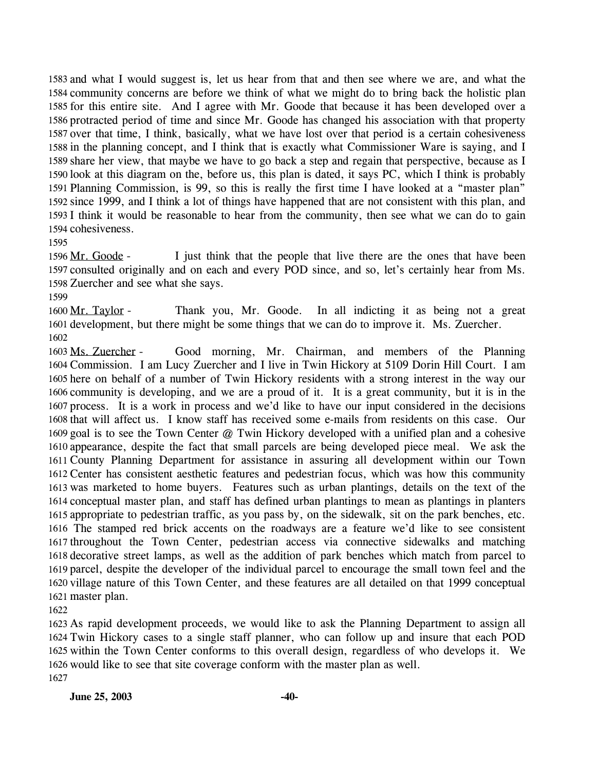1583 and what I would suggest is, let us hear from that and then see where we are, and what the 1584 community concerns are before we think of what we might do to bring back the holistic plan 1585 for this entire site. And I agree with Mr. Goode that because it has been developed over a 1586 protracted period of time and since Mr. Goode has changed his association with that property 1587 over that time, I think, basically, what we have lost over that period is a certain cohesiveness 1588 in the planning concept, and I think that is exactly what Commissioner Ware is saying, and I 1589 share her view, that maybe we have to go back a step and regain that perspective, because as I 1590 look at this diagram on the, before us, this plan is dated, it says PC, which I think is probably 1591 Planning Commission, is 99, so this is really the first time I have looked at a "master plan" 1592 since 1999, and I think a lot of things have happened that are not consistent with this plan, and 1593 I think it would be reasonable to hear from the community, then see what we can do to gain 1594 cohesiveness.

#### 1595

I just think that the people that live there are the ones that have been 1597 consulted originally and on each and every POD since, and so, let's certainly hear from Ms. 1598 Zuercher and see what she says. 1596 Mr. Goode -

1599

Thank you, Mr. Goode. In all indicting it as being not a great 1601 development, but there might be some things that we can do to improve it. Ms. Zuercher. 1600 Mr. Taylor -1602

Good morning, Mr. Chairman, and members of the Planning 1604 Commission. I am Lucy Zuercher and I live in Twin Hickory at 5109 Dorin Hill Court. I am 1605 here on behalf of a number of Twin Hickory residents with a strong interest in the way our 1606 community is developing, and we are a proud of it. It is a great community, but it is in the 1607 process. It is a work in process and we'd like to have our input considered in the decisions 1608 that will affect us. I know staff has received some e-mails from residents on this case. Our 1609 goal is to see the Town Center @ Twin Hickory developed with a unified plan and a cohesive 1610 appearance, despite the fact that small parcels are being developed piece meal. We ask the 1611 County Planning Department for assistance in assuring all development within our Town 1612 Center has consistent aesthetic features and pedestrian focus, which was how this community 1613 was marketed to home buyers. Features such as urban plantings, details on the text of the 1614 conceptual master plan, and staff has defined urban plantings to mean as plantings in planters 1615 appropriate to pedestrian traffic, as you pass by, on the sidewalk, sit on the park benches, etc. 1616 The stamped red brick accents on the roadways are a feature we'd like to see consistent 1617 throughout the Town Center, pedestrian access via connective sidewalks and matching 1618 decorative street lamps, as well as the addition of park benches which match from parcel to 1619 parcel, despite the developer of the individual parcel to encourage the small town feel and the 1620 village nature of this Town Center, and these features are all detailed on that 1999 conceptual 1621 master plan. 1603 Ms. Zuercher -

1622

 As rapid development proceeds, we would like to ask the Planning Department to assign all Twin Hickory cases to a single staff planner, who can follow up and insure that each POD within the Town Center conforms to this overall design, regardless of who develops it. We would like to see that site coverage conform with the master plan as well. 1627

**June 25, 2003** -40-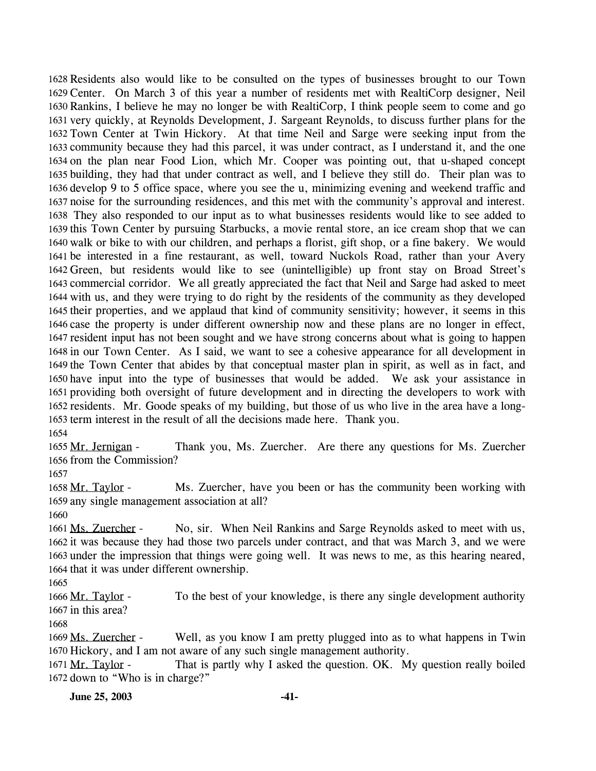1628 Residents also would like to be consulted on the types of businesses brought to our Town 1629 Center. On March 3 of this year a number of residents met with RealtiCorp designer, Neil 1630 Rankins, I believe he may no longer be with RealtiCorp, I think people seem to come and go 1631 very quickly, at Reynolds Development, J. Sargeant Reynolds, to discuss further plans for the 1632 Town Center at Twin Hickory. At that time Neil and Sarge were seeking input from the 1633 community because they had this parcel, it was under contract, as I understand it, and the one 1634 on the plan near Food Lion, which Mr. Cooper was pointing out, that u-shaped concept 1635 building, they had that under contract as well, and I believe they still do. Their plan was to 1636 develop 9 to 5 office space, where you see the u, minimizing evening and weekend traffic and 1637 noise for the surrounding residences, and this met with the community's approval and interest. They also responded to our input as to what businesses residents would like to see added to 1638 1639 this Town Center by pursuing Starbucks, a movie rental store, an ice cream shop that we can 1640 walk or bike to with our children, and perhaps a florist, gift shop, or a fine bakery. We would 1641 be interested in a fine restaurant, as well, toward Nuckols Road, rather than your Avery 1642 Green, but residents would like to see (unintelligible) up front stay on Broad Street's 1643 commercial corridor. We all greatly appreciated the fact that Neil and Sarge had asked to meet 1644 with us, and they were trying to do right by the residents of the community as they developed 1645 their properties, and we applaud that kind of community sensitivity; however, it seems in this 1646 case the property is under different ownership now and these plans are no longer in effect, 1647 resident input has not been sought and we have strong concerns about what is going to happen 1648 in our Town Center. As I said, we want to see a cohesive appearance for all development in 1649 the Town Center that abides by that conceptual master plan in spirit, as well as in fact, and 1650 have input into the type of businesses that would be added. We ask your assistance in 1651 providing both oversight of future development and in directing the developers to work with 1652 residents. Mr. Goode speaks of my building, but those of us who live in the area have a long-1653 term interest in the result of all the decisions made here. Thank you. 1654

Thank you, Ms. Zuercher. Are there any questions for Ms. Zuercher 1656 from the Commission? 1655 Mr. Jernigan -

1657

Ms. Zuercher, have you been or has the community been working with 1659 any single management association at all? 1658 Mr. Taylor -

1660

No, sir. When Neil Rankins and Sarge Reynolds asked to meet with us, 1662 it was because they had those two parcels under contract, and that was March 3, and we were 1663 under the impression that things were going well. It was news to me, as this hearing neared, 1664 that it was under different ownership. 1661 Ms. Zuercher -

1665

To the best of your knowledge, is there any single development authority 1667 in this area? 1666 Mr. Taylor -

1668

Well, as you know I am pretty plugged into as to what happens in Twin 1670 Hickory, and I am not aware of any such single management authority. 1669 Ms. Zuercher -

That is partly why I asked the question. OK. My question really boiled 1672 down to "Who is in charge?" 1671 Mr. Taylor -

**June 25, 2003** -41-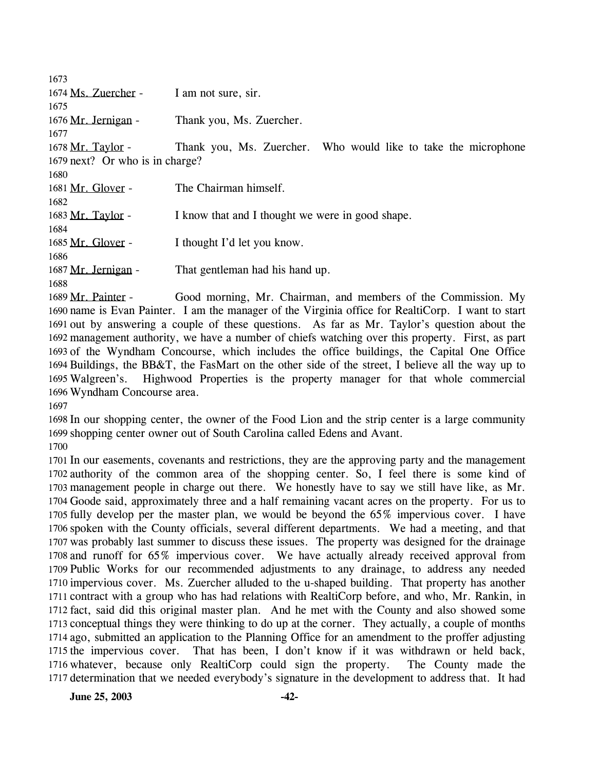| 1673                            |                                                                |
|---------------------------------|----------------------------------------------------------------|
| 1674 Ms. Zuercher -             | I am not sure, sir.                                            |
| 1675                            |                                                                |
| 1676 Mr. Jernigan -             | Thank you, Ms. Zuercher.                                       |
| 1677                            |                                                                |
| 1678 Mr. Taylor -               | Thank you, Ms. Zuercher. Who would like to take the microphone |
| 1679 next? Or who is in charge? |                                                                |
| 1680                            |                                                                |
| 1681 Mr. Glover -               | The Chairman himself.                                          |
| 1682                            |                                                                |
| 1683 Mr. Taylor -               | I know that and I thought we were in good shape.               |
| 1684                            |                                                                |
| 1685 Mr. Glover -               | I thought I'd let you know.                                    |
| 1686                            |                                                                |
| 1687 Mr. Jernigan -             | That gentleman had his hand up.                                |
| 1688                            |                                                                |

Good morning, Mr. Chairman, and members of the Commission. My 1690 name is Evan Painter. I am the manager of the Virginia office for RealtiCorp. I want to start 1691 out by answering a couple of these questions. As far as Mr. Taylor's question about the 1692 management authority, we have a number of chiefs watching over this property. First, as part 1693 of the Wyndham Concourse, which includes the office buildings, the Capital One Office 1694 Buildings, the BB&T, the FasMart on the other side of the street, I believe all the way up to Highwood Properties is the property manager for that whole commercial 1696 Wyndham Concourse area. 1689 Mr. Painter -1695 Walgreen's.

 In our shopping center, the owner of the Food Lion and the strip center is a large community shopping center owner out of South Carolina called Edens and Avant.

 In our easements, covenants and restrictions, they are the approving party and the management authority of the common area of the shopping center. So, I feel there is some kind of management people in charge out there. We honestly have to say we still have like, as Mr. Goode said, approximately three and a half remaining vacant acres on the property. For us to fully develop per the master plan, we would be beyond the 65% impervious cover. I have spoken with the County officials, several different departments. We had a meeting, and that was probably last summer to discuss these issues. The property was designed for the drainage and runoff for 65% impervious cover. We have actually already received approval from Public Works for our recommended adjustments to any drainage, to address any needed impervious cover. Ms. Zuercher alluded to the u-shaped building. That property has another contract with a group who has had relations with RealtiCorp before, and who, Mr. Rankin, in fact, said did this original master plan. And he met with the County and also showed some conceptual things they were thinking to do up at the corner. They actually, a couple of months ago, submitted an application to the Planning Office for an amendment to the proffer adjusting the impervious cover. That has been, I don't know if it was withdrawn or held back, whatever, because only RealtiCorp could sign the property. The County made the determination that we needed everybody's signature in the development to address that. It had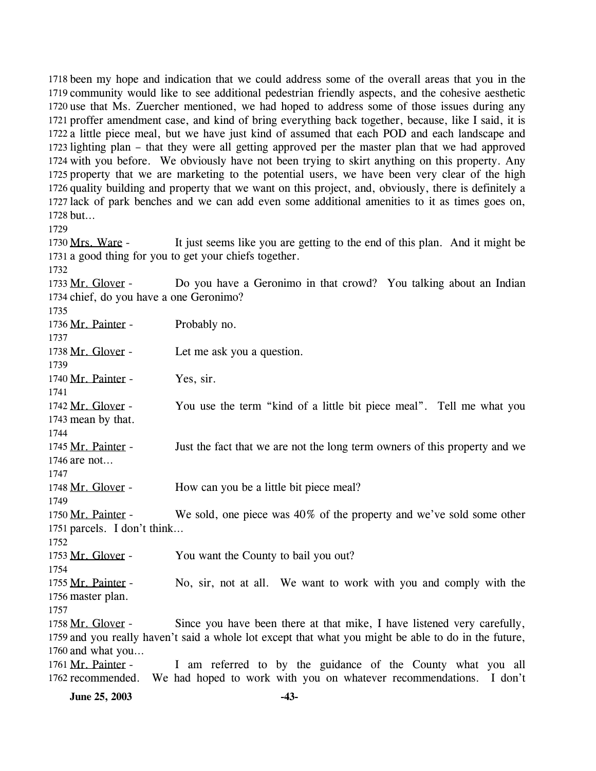1718 been my hope and indication that we could address some of the overall areas that you in the 1719 community would like to see additional pedestrian friendly aspects, and the cohesive aesthetic 1720 use that Ms. Zuercher mentioned, we had hoped to address some of those issues during any 1721 proffer amendment case, and kind of bring everything back together, because, like I said, it is 1722 a little piece meal, but we have just kind of assumed that each POD and each landscape and 1723 lighting plan – that they were all getting approved per the master plan that we had approved 1724 with you before. We obviously have not been trying to skirt anything on this property. Any 1725 property that we are marketing to the potential users, we have been very clear of the high 1726 quality building and property that we want on this project, and, obviously, there is definitely a 1727 lack of park benches and we can add even some additional amenities to it as times goes on, 1728 but...

1729

1732

It just seems like you are getting to the end of this plan. And it might be 1731 a good thing for you to get your chiefs together. 1730 Mrs. Ware -

Do you have a Geronimo in that crowd? You talking about an Indian 1734 chief, do you have a one Geronimo? 1733 Mr. Glover -

1735

1736 Mr. Painter - Probably no. 1737 1738 Mr. Glover - Let me ask you a question. 1739 1740 Mr. Painter - Yes, sir. 1741 You use the term "kind of a little bit piece meal". Tell me what you 1743 mean by that. 1742 Mr. Glover -1744 Just the fact that we are not the long term owners of this property and we 1746 are not... 1745 Mr. Painter -1747 1748 Mr. Glover - How can you be a little bit piece meal? 1749 We sold, one piece was  $40\%$  of the property and we've sold some other 1751 parcels. I don't think... 1750 Mr. Painter -1752 1753 Mr. Glover - You want the County to bail you out? 1754 No, sir, not at all. We want to work with you and comply with the 1756 master plan. 1755 Mr. Painter -1757 Since you have been there at that mike, I have listened very carefully, 1759 and you really haven't said a whole lot except that what you might be able to do in the future, 1760 and what you... 1758 Mr. Glover -I am referred to by the guidance of the County what you all 1762 recommended. We had hoped to work with you on whatever recommendations. I don't 1761 Mr. Painter -

**June 25, 2003 -43-**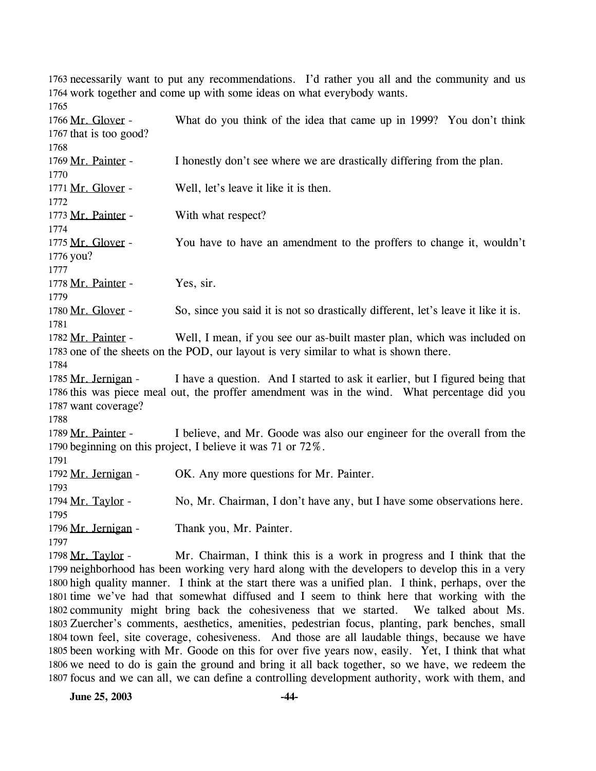1763 necessarily want to put any recommendations. I'd rather you all and the community and us 1764 work together and come up with some ideas on what everybody wants. 1765

| 1766 Mr. Glover -<br>1767 that is too good? | What do you think of the idea that came up in 1999? You don't think                          |
|---------------------------------------------|----------------------------------------------------------------------------------------------|
| 1768                                        |                                                                                              |
| 1769 Mr. Painter -                          | I honestly don't see where we are drastically differing from the plan.                       |
| 1770                                        |                                                                                              |
| 1771 Mr. Glover -                           | Well, let's leave it like it is then.                                                        |
| 1772                                        |                                                                                              |
| 1773 Mr. Painter -                          | With what respect?                                                                           |
| 1774                                        |                                                                                              |
| 1775 Mr. Glover -                           | You have to have an amendment to the proffers to change it, wouldn't                         |
| 1776 you?                                   |                                                                                              |
| 1777                                        |                                                                                              |
| 1778 Mr. Painter -                          | Yes, sir.                                                                                    |
| 1779                                        |                                                                                              |
| 1780 Mr. Glover -                           | So, since you said it is not so drastically different, let's leave it like it is.            |
| 1781                                        |                                                                                              |
| 1782 Mr. Painter -                          | Well, I mean, if you see our as-built master plan, which was included on                     |
|                                             | 1783 one of the sheets on the POD, our layout is very similar to what is shown there.        |
| 1784                                        |                                                                                              |
| 1785 Mr. Jernigan -                         | I have a question. And I started to ask it earlier, but I figured being that                 |
|                                             | 1786 this was piece meal out, the proffer amendment was in the wind. What percentage did you |
| 1787 want coverage?                         |                                                                                              |
| 1788                                        |                                                                                              |
| 1789 Mr. Painter -                          | I believe, and Mr. Goode was also our engineer for the overall from the                      |
|                                             | 1790 beginning on this project, I believe it was 71 or 72%.                                  |
| 1791                                        |                                                                                              |
| 1792 Mr. Jernigan -                         | OK. Any more questions for Mr. Painter.                                                      |
| 1793                                        |                                                                                              |
| 1794 Mr. Taylor -                           | No, Mr. Chairman, I don't have any, but I have some observations here.                       |
| 1795                                        |                                                                                              |
| 1796 Mr. Jernigan -<br>1797                 | Thank you, Mr. Painter.                                                                      |
|                                             |                                                                                              |
| 1798 Mr. Taylor -                           | Mr. Chairman, I think this is a work in progress and I think that the                        |

1799 neighborhood has been working very hard along with the developers to develop this in a very 1800 high quality manner. I think at the start there was a unified plan. I think, perhaps, over the 1801 time we've had that somewhat diffused and I seem to think here that working with the 1802 community might bring back the cohesiveness that we started. We talked about Ms. 1803 Zuercher's comments, aesthetics, amenities, pedestrian focus, planting, park benches, small 1804 town feel, site coverage, cohesiveness. And those are all laudable things, because we have 1805 been working with Mr. Goode on this for over five years now, easily. Yet, I think that what 1806 we need to do is gain the ground and bring it all back together, so we have, we redeem the 1807 focus and we can all, we can define a controlling development authority, work with them, and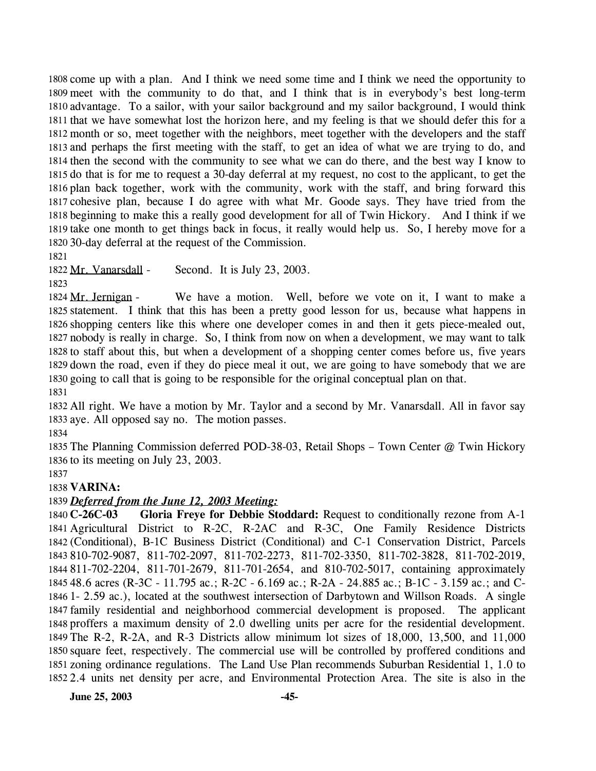1808 come up with a plan. And I think we need some time and I think we need the opportunity to 1809 meet with the community to do that, and I think that is in everybody's best long-term 1810 advantage. To a sailor, with your sailor background and my sailor background, I would think 1811 that we have somewhat lost the horizon here, and my feeling is that we should defer this for a 1812 month or so, meet together with the neighbors, meet together with the developers and the staff 1813 and perhaps the first meeting with the staff, to get an idea of what we are trying to do, and 1814 then the second with the community to see what we can do there, and the best way I know to 1815 do that is for me to request a 30-day deferral at my request, no cost to the applicant, to get the 1816 plan back together, work with the community, work with the staff, and bring forward this 1817 cohesive plan, because I do agree with what Mr. Goode says. They have tried from the 1818 beginning to make this a really good development for all of Twin Hickory. And I think if we 1819 take one month to get things back in focus, it really would help us. So, I hereby move for a 30-day deferral at the request of the Commission. 1820

1821

1822 Mr. Vanarsdall - Second. It is July 23, 2003.

1823

We have a motion. Well, before we vote on it, I want to make a 1825 statement. I think that this has been a pretty good lesson for us, because what happens in 1826 shopping centers like this where one developer comes in and then it gets piece-mealed out, 1827 nobody is really in charge. So, I think from now on when a development, we may want to talk 1828 to staff about this, but when a development of a shopping center comes before us, five years 1829 down the road, even if they do piece meal it out, we are going to have somebody that we are 1830 going to call that is going to be responsible for the original conceptual plan on that. 1824 Mr. Jernigan -

1831

1832 All right. We have a motion by Mr. Taylor and a second by Mr. Vanarsdall. All in favor say 1833 aye. All opposed say no. The motion passes.

1834

1835 The Planning Commission deferred POD-38-03, Retail Shops – Town Center @ Twin Hickory 1836 to its meeting on July 23, 2003.

1837

### 1838 **VARINA:**

### 1839 *Deferred from the June 12, 2003 Meeting:*

1840 C-26C-03 Agricultural District to R-2C, R-2AC and R-3C, One Family Residence Districts (Conditional), B-1C Business District (Conditional) and C-1 Conservation District, Parcels 810-702-9087, 811-702-2097, 811-702-2273, 811-702-3350, 811-702-3828, 811-702-2019, 811-702-2204, 811-701-2679, 811-701-2654, and 810-702-5017, containing approximately 48.6 acres (R-3C - 11.795 ac.; R-2C - 6.169 ac.; R-2A - 24.885 ac.; B-1C - 3.159 ac.; and C- 1- 2.59 ac.), located at the southwest intersection of Darbytown and Willson Roads. A single family residential and neighborhood commercial development is proposed. The applicant proffers a maximum density of 2.0 dwelling units per acre for the residential development. The R-2, R-2A, and R-3 Districts allow minimum lot sizes of 18,000, 13,500, and 11,000 square feet, respectively. The commercial use will be controlled by proffered conditions and zoning ordinance regulations. The Land Use Plan recommends Suburban Residential 1, 1.0 to 2.4 units net density per acre, and Environmental Protection Area. The site is also in the Gloria Freye for Debbie Stoddard: Request to conditionally rezone from A-1

**June 25, 2003 -45-**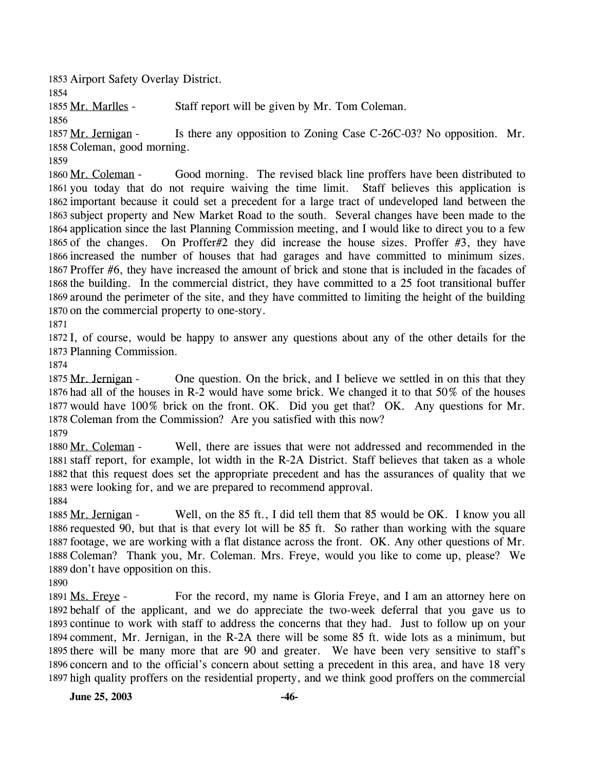1853 Airport Safety Overlay District.

1854

1855 Mr. Marlles - Staff report will be given by Mr. Tom Coleman.

1856

Is there any opposition to Zoning Case C-26C-03? No opposition. Mr. 1858 Coleman, good morning. 1857 Mr. Jernigan -

1859

Good morning. The revised black line proffers have been distributed to 1861 you today that do not require waiving the time limit. Staff believes this application is 1862 important because it could set a precedent for a large tract of undeveloped land between the 1863 subject property and New Market Road to the south. Several changes have been made to the 1864 application since the last Planning Commission meeting, and I would like to direct you to a few 1865 of the changes. On Proffer#2 they did increase the house sizes. Proffer  $#3$ , they have 1866 increased the number of houses that had garages and have committed to minimum sizes. 1867 Proffer #6, they have increased the amount of brick and stone that is included in the facades of 1868 the building. In the commercial district, they have committed to a 25 foot transitional buffer 1869 around the perimeter of the site, and they have committed to limiting the height of the building 1870 on the commercial property to one-story. 1860 Mr. Coleman -

1871

1872 I, of course, would be happy to answer any questions about any of the other details for the 1873 Planning Commission.

1874

One question. On the brick, and I believe we settled in on this that they 1876 had all of the houses in R-2 would have some brick. We changed it to that  $50\%$  of the houses 1877 would have 100% brick on the front. OK. Did you get that? OK. Any questions for Mr. 1878 Coleman from the Commission? Are you satisfied with this now? 1875 Mr. Jernigan -

1879

Well, there are issues that were not addressed and recommended in the 1881 staff report, for example, lot width in the R-2A District. Staff believes that taken as a whole 1882 that this request does set the appropriate precedent and has the assurances of quality that we 1883 were looking for, and we are prepared to recommend approval. 1880 Mr. Coleman -

1884

Well, on the 85 ft., I did tell them that 85 would be OK. I know you all 1886 requested 90, but that is that every lot will be 85 ft. So rather than working with the square 1887 footage, we are working with a flat distance across the front. OK. Any other questions of Mr. 1888 Coleman? Thank you, Mr. Coleman. Mrs. Freye, would you like to come up, please? We 1889 don't have opposition on this. 1885 Mr. Jernigan -

1890

For the record, my name is Gloria Freye, and I am an attorney here on 1892 behalf of the applicant, and we do appreciate the two-week deferral that you gave us to 1893 continue to work with staff to address the concerns that they had. Just to follow up on your 1894 comment, Mr. Jernigan, in the R-2A there will be some 85 ft. wide lots as a minimum, but 1895 there will be many more that are 90 and greater. We have been very sensitive to staff's 1896 concern and to the official's concern about setting a precedent in this area, and have 18 very 1897 high quality proffers on the residential property, and we think good proffers on the commercial 1891 Ms. Freve -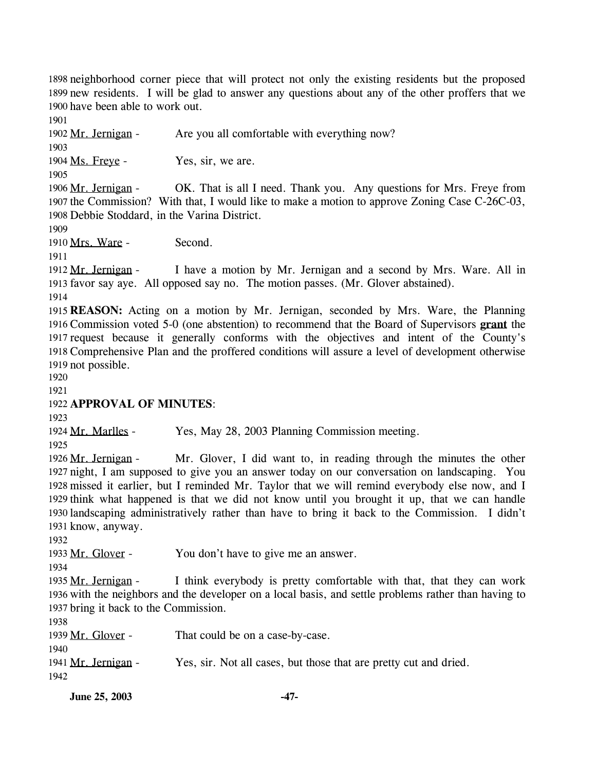1898 neighborhood corner piece that will protect not only the existing residents but the proposed 1899 new residents. I will be glad to answer any questions about any of the other proffers that we 1900 have been able to work out.

1901

1902 Mr. Jernigan - Are you all comfortable with everything now? 1903 1904 Ms. Freye - Yes, sir, we are. 1905 OK. That is all I need. Thank you. Any questions for Mrs. Freye from 1907 the Commission? With that, I would like to make a motion to approve Zoning Case C-26C-03, 1908 Debbie Stoddard, in the Varina District. 1906 Mr. Jernigan -1909 1910 Mrs. Ware - Second. 1911 I have a motion by Mr. Jernigan and a second by Mrs. Ware. All in 1913 favor say aye. All opposed say no. The motion passes. (Mr. Glover abstained). 1912 Mr. Jernigan -1914 1915 **REASON:** Acting on a motion by Mr. Jernigan, seconded by Mrs. Ware, the Planning 1916 Commission voted 5-0 (one abstention) to recommend that the Board of Supervisors grant the 1917 request because it generally conforms with the objectives and intent of the County's Comprehensive Plan and the proffered conditions will assure a level of development otherwise 1918 1919 not possible. 1920 1921 1922 **APPROVAL OF MINUTES**: 1923 1924 Mr. Marlles - Yes, May 28, 2003 Planning Commission meeting. 1925 Mr. Glover, I did want to, in reading through the minutes the other 1927 night, I am supposed to give you an answer today on our conversation on landscaping. You 1928 missed it earlier, but I reminded Mr. Taylor that we will remind everybody else now, and I 1929 think what happened is that we did not know until you brought it up, that we can handle 1930 landscaping administratively rather than have to bring it back to the Commission. I didn't 1931 know, anyway. 1926 Mr. Jernigan -1932 1933 Mr. Glover - You don't have to give me an answer. 1934 I think everybody is pretty comfortable with that, that they can work 1936 with the neighbors and the developer on a local basis, and settle problems rather than having to 1937 bring it back to the Commission. 1935 Mr. Jernigan -1938

1939 Mr. Glover - That could be on a case-by-case. 1940 1941 Mr. Jernigan - Yes, sir. Not all cases, but those that are pretty cut and dried. 1942

**June 25, 2003** -47-